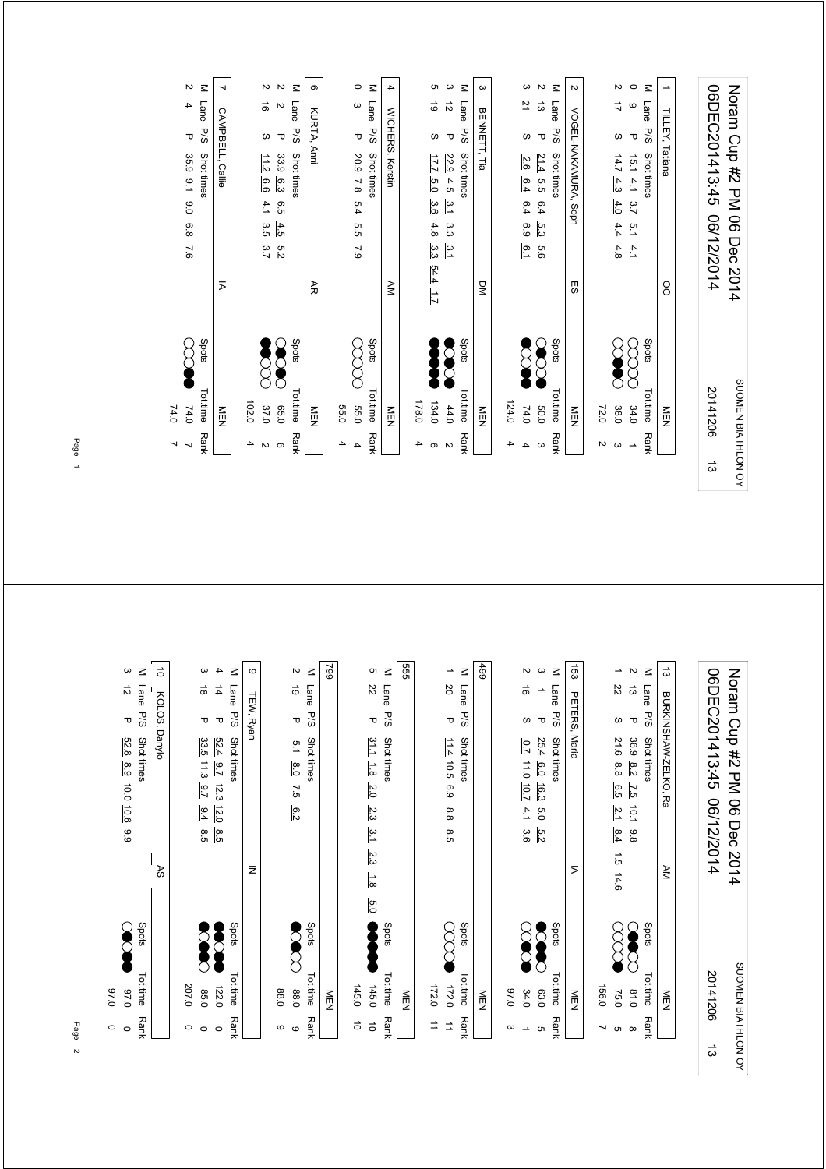| ದ                                                               | BURKINSHAW-ZELKO, Ra                                              | ĀΜ                           |       | NEN        |                          |
|-----------------------------------------------------------------|-------------------------------------------------------------------|------------------------------|-------|------------|--------------------------|
| $\leq$<br>Lane<br>P/S                                           | Shot times                                                        |                              | Spots | Tot.time   | <b>Rank</b>              |
| $\boldsymbol{\mathsf{N}}$<br>$\vec{\omega}$<br>$\mathbf \sigma$ | 36.9<br>$\frac{8.2}{2}$<br>$\overline{25}$<br>10.1<br>9.8         |                              |       | 0.18       |                          |
| ∸<br>22<br>S                                                    | 21.6<br>8.8<br>6.5<br>$\frac{2}{1}$<br>8.4                        | $\overrightarrow{a}$<br>14.6 |       | 75.0       | თ დ                      |
|                                                                 |                                                                   |                              |       | 156.0      | ┙                        |
| 153<br>PETERS,                                                  | Maria                                                             | ⋝                            |       | MEN        |                          |
| $\leq$<br>Lane<br>P/S                                           | Shot times                                                        |                              | Spots | Tot.time   | <b>Rank</b>              |
| ς<br>$\overline{\phantom{a}}$<br>$\mathbf \sigma$               | 25.4<br>6.0<br>16.3<br>0.5<br>5.2                                 |                              |       | 63.0       | G                        |
| $\sim$<br>ಹ<br>S                                                | $\overline{0.7}$<br>11.0 10.7<br>4.1<br>3.6                       |                              |       | 34.0       | $\overline{\phantom{a}}$ |
|                                                                 |                                                                   |                              |       | 0.76       | ω                        |
| 499                                                             |                                                                   |                              |       | <b>MEN</b> |                          |
| $\leq$<br><b>Lane</b><br><b>P/S</b>                             | Shot times                                                        |                              | Spots | Tot.time   | Rank                     |
| $\overline{\phantom{a}}$<br>SO<br>τ                             | $11.4$ 10.5<br>6.9<br>8.8<br>8.5                                  |                              |       | 172.0      | $\Rightarrow$            |
|                                                                 |                                                                   |                              |       | 172.0      | ⇉                        |
| 555                                                             |                                                                   |                              |       | MEN        |                          |
| $\leq$<br>Lane<br>P/S                                           | Shot times                                                        |                              | Spots | Tot.time   | <b>Rank</b>              |
| c<br>22<br>Δ                                                    | 31.1<br>$\frac{1}{8}$<br>$\overline{2.0}$<br>2.3<br>$\frac{3}{1}$ | 2.3<br>$\frac{1}{8}$         | 5.0   | 145.0      | $\vec{0}$                |
|                                                                 |                                                                   |                              |       | 145.0      | $\vec{0}$                |
| 662                                                             |                                                                   |                              |       | <b>MEN</b> |                          |
| $\leq$<br>Lane<br>P/S                                           | Shot times                                                        |                              | Spots | Tot.time   | <b>Rank</b>              |
| $\boldsymbol{\mathsf{N}}$<br>ಠ<br>᠊ᠣ                            | 5.1<br>$\frac{8}{2}$<br>7.5<br>6.2                                |                              |       | 088        | $\circ$                  |
|                                                                 |                                                                   |                              |       | 088        | $\circ$                  |
| $\circ$<br>TEW, Ryan                                            |                                                                   | $\bar{z}$                    |       |            |                          |
| $\leq$<br><b>Lane</b><br><b>P/S</b>                             | Shot times                                                        |                              | Spots | Tot.time   | <b>Rank</b>              |
| 4<br>$\overrightarrow{4}$<br>$\mathbf \sigma$                   | 52.4<br>$\overline{2.6}$<br>12.3<br>12.0<br>8.5                   |                              |       | 122.0      | $\circ$                  |
| ω<br>$\stackrel{\rightharpoonup }{\circ}$<br>τ                  | 33.5 11.3<br>$\overline{2.6}$<br>9.4<br>8.5                       |                              |       | 0.58       | $\circ$                  |
|                                                                 |                                                                   |                              |       | 207.0      | $\circ$                  |
| $\vec{0}$<br>KOLOS,                                             | Danylo                                                            | RS                           |       |            |                          |
| $\leq$<br>Lane<br>P/S                                           | Shot times                                                        |                              | Spots | Tot.time   | Rank                     |
| ပ<br>$\vec{v}$<br>$\mathbf \sigma$                              | 52.8 8.9<br>10.0 10.6<br>66                                       |                              |       | 07.0       | $\circ$                  |
|                                                                 |                                                                   |                              |       | 0'26       | $\circ$                  |

SUOMEN BIATHLON OY

SUOMEN BIATHLON OY

20141206

ದ

06DEC201413:45 06/12/2014 Noram Cup #2 PM 06 Dec 2014

06DEC201413:45 06/12/2014 Noram Cup #2 PM 06 Dec 2014

Page 1

M Lane P/S Shot times<br>
0 9 P 15.1 4.1 3.<br>
2 17 S 14.7 <u>4.3 4.</u> M Lane P/S Shot times<br>
2 2 P 33.9 <u>6.3</u> 6<br>
2 16 S 11.<u>2 6.6</u> 4 M Lane P/S Shot times<br>2 13 P <u>21.4</u> 5.5 6<br>3 21 S <u>2.6 6.4</u> 6 M Lane P/S Shot times<br>0 3 P 20.9 7.8  $\overline{4}$ M Lane P/S Shot times<br>  $2 \quad 4 \quad P \quad 35.9 \quad 9.1$  $\omega$  $\overline{ }$  $\circ$ M Lane P/S Shot times<br>
3 12 P <u>22.9</u> 4.5<br>
5 19 S <u>17.7 5.0</u>  $\overline{v}$  $\rightarrow$ 06DEC201413:45 06/12/2014 Noram Cup #2 PM 06 Dec 2014 2 4 P 35.9 9.1 9.0 6.8 7.6 → 35.9 0.6 2 4.0 P 37.0 P 37.0 P 37.0 P 37.0 P 37.0 P 37.0 P 37.0 P 37.0 P 37.0 P 3  $2 \t19 \t30 \t31$ <br> $2 \t12 \t6.6 \t41 \t3.5 \t3.7$ 6 5.2 2 2 2 33.9.9 5.2 3 34.5 5.2 3 34.5 2 3 35.0 2 35.0 2 35.0 35.1 2 2 2 3 35.0 2 35.0 2 35.0 2 3 35.0 2 3 3 4 7.9 5.5 7.8 55.0 5.4 0 3 P 20.9 5 1.7 5.0 3.3 4.4 1.7 (1.4 1.7 S 1.4 1.7 S 1.4 S 1.34.0 5 1.6 S 1.6 S 1.6 S 1.6 S 1.6 S 1.6 S 1.6 S 1.6 S 1.6 S  $3 \t12 \tP 22.9 \t4.5 \t3.3 \t3.1 \t3.3 \t3.1$  4 6.1 6.9 6.4 74.0 6.4 3 21 S 2.6 2 13 P 21.4 5.5 5.6 5.6 5.6 5.6 C 20 2.6 2.6 2.6 2.7 2 17 S 14.7 4.3 4.4 4.8 (X) 0 9 P 15.1 4.1 3.7 5.1 4.1 3.7 X X X 3.4.0 1 06DEC201413:45 06/12/2014 Noram Cup #2 PM 06 Dec 2014  $\vec{\omega}$   $\vec{\omega}$ BENNETT, Tia VOGEL-NAKAMURA, Soph **WICHERS, Kerstin** CAMPBELL, Callie KURTA, Anni TILLEY, Tatiana WICHERS, Kerstin VOGEL-NAKAMURA, Soph TILLEY, Tatiana CAMPBELL, Callie KURTA, Anni BENNETT, Tia P 20.9 7.8 5.4 5.5 7.9 P/S Shot times Shots Shots Tot.time Rank P/S Shot times  $\sim$  Spots Tot.time Rank P/S Shot times Shots Shots Tot.time Rank  $\sigma$   $\sigma$ P/S Shot times  $\sim$  Spots Tot.time Rank P/S Shot times Shots Shots Tot.time Rank P/S Shot times  $\sim$  Spots Tot.time Rank 15.1 4.1 3.7 5.1 4.1<br>14.7 4.3 4.0 4.4 4.8 33.9 6.3 6.5 4.5 5.2<br>11.2 6.6 4.1 3.5 3.7  $\frac{22.9}{17.7}$   $\frac{4.5}{5.0}$   $\frac{3.6}{3.6}$   $\frac{4.8}{4.8}$   $\frac{3.3}{3.3}$   $\frac{54.4}{54.4}$   $\frac{1.7}{1.7}$ 35.9 9.1 9.0 6.8 7.6 21.4 5.5 6.4 5.3  $\frac{21.4}{2.6}$  5.5 6.4  $\frac{5.3}{6.4}$  5.6 AR DM  $\overline{p}$ AM ES OO Spots Totlime Rand<br>COCOO 34.0 1<br>COCOO 38.0 3<br>COOO 72.0 2  $\sum_{1}$  apats  $\bullet$ Spots  $Tottime$ <br>COOOO 55.0 Spots **Spots** Spots  $\mathbf{S}$  $\infty$ Š  $\sum_{i=1}^n$ SUOMEN BIATHLON OY Tottline Rank<br>  $60.0$  3<br>
74.0 4<br>
74.0 4 SUOMEN BIATHLON OY Tot.time Rank Tot.time Rank Tot.time Rank Tot.time Rank 20141206 Tot.time Rank 20141206 $74.0$ 65.0<br>37.0  $44.0$ <br> $134.0$ 178.0  $124.0$ 102.0 102.0 4 178.0 4 124.0 4 74.0 MEN MEN **55.0**  55.0 4 MEN MEN MEN 72.0 2 MEN  $\overline{4}$  $\overline{a}$  $\overline{2}$  $\overline{4}$  $\circ$  $\overline{4}$  $\overline{4}$  $\overline{v}$  $\omega$  $\rightarrow$  $\overline{a}$  $\overline{v}$  $\overline{4}$ ෧  $\frac{1}{3}$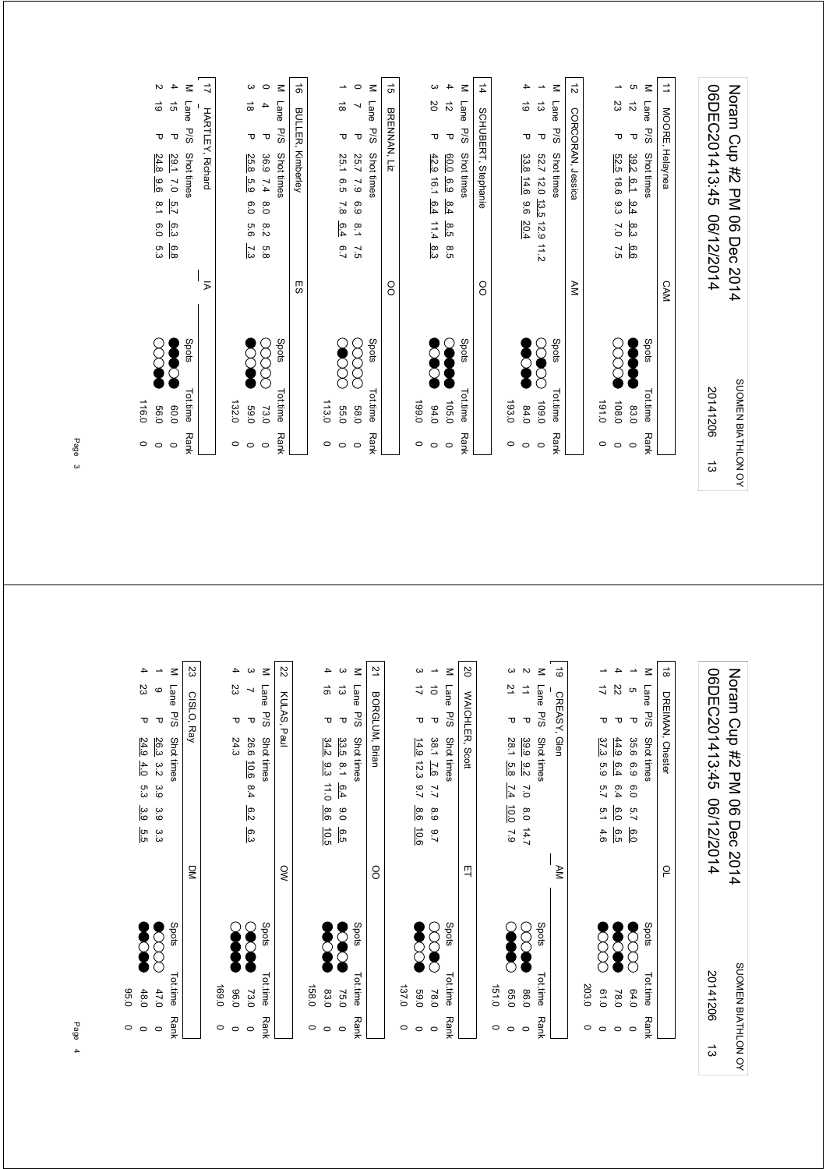|   | $\circ$            | 0.95                 |       |              | 6.0<br>5.3                      | $\overline{5}$ .1 | 24.8<br>9.6               | ᠊ᠣ               | $\vec{\circ}$          | N                        |
|---|--------------------|----------------------|-------|--------------|---------------------------------|-------------------|---------------------------|------------------|------------------------|--------------------------|
|   | $\circ$            | 0.09                 |       |              | ၉့၁<br>6.8                      | 5.7               | 29.1<br>$\overline{C}$ .0 | $\mathbf \tau$   | $\vec{q}$              | 4                        |
|   | <b>Rank</b>        | Tot.time             | Spots |              |                                 |                   | <b>Shot times</b>         | P/S              | Lane                   | Σ                        |
|   |                    |                      |       | Σ            |                                 |                   | <b>HARTLEY, Richard</b>   |                  |                        | ミ                        |
|   |                    |                      |       |              |                                 |                   |                           |                  |                        |                          |
|   | $\circ$            | 132.0                |       |              |                                 |                   |                           |                  |                        |                          |
|   | $\circ$            | 0'69                 |       |              | 9.9<br>73                       | 6.0               | 25.8<br>5.9               | ᠊ᠣ               | $\vec{8}$              | ω                        |
|   | $\circ$            |                      |       |              |                                 |                   |                           |                  |                        |                          |
|   |                    | 73.0                 |       |              | 8.2<br>5.8                      | 0.8               | 36.9<br>7.4               | Δ                | 4                      | $\circ$                  |
|   | Rank               | <b>Tot.time</b>      | Spots |              |                                 |                   | Shot times                | <b>P/S</b>       | Lane                   | $\leq$                   |
|   |                    |                      |       | 59           |                                 |                   | Kimberley                 |                  | BULLER,                | ಹೆ                       |
|   |                    |                      |       |              |                                 |                   |                           |                  |                        |                          |
|   | $\circ$<br>$\circ$ | 113.0<br><b>55.0</b> |       |              | 6.4                             | 7.8               | 25.1<br>9.5               | ᠊ᠣ               | $\vec{\circ}$          | ∸                        |
|   | $\circ$            | 089                  |       |              | $\frac{8}{1}$<br>$7.5$<br>$6.7$ | 6.9               | 25.7<br>$\overline{6}$    | $\mathbf \sigma$ | ↘                      | $\circ$                  |
|   | Rank               | Tottime              | Spots |              |                                 |                   | Shot times                | P/S              | Lane                   | Σ                        |
|   |                    |                      |       | OO           |                                 |                   |                           | BRENNAN, Liz     |                        | ದೆ                       |
|   | $\circ$            | 199.0                |       |              |                                 |                   |                           |                  |                        |                          |
|   | $\circ$            | 04.0                 |       |              | 11.4<br>8.3                     | 6.4               | $42.9$ 16.1               | ᠊ᠣ               | SO                     | ω                        |
|   | $\circ$            | 105.0                |       |              | 8.5<br>6.5                      | 8.4               | 0.0<br>69                 | $\mathbf \sigma$ | $\vec{\tilde{\omega}}$ | 4                        |
|   | Rank               | Tot.time             | Spots |              |                                 |                   | Shot times                | <b>P/S</b>       | Lane                   | $\leq$                   |
|   |                    |                      |       | <sup>o</sup> |                                 |                   | SCHUBERT, Stephanie       |                  |                        | 4                        |
|   | $\circ$            | 193.0                |       |              |                                 |                   |                           |                  |                        |                          |
|   | $\circ$            | 64.0                 |       |              | 20.4                            |                   | 33.8 14.6 9.6             | ᠊ᠣ               | $\vec{\circ}$          | 4                        |
|   | $\circ$            | 109.0                | ਨ     |              | $\frac{11}{2}$                  |                   | 52.7 12.0 13.5 12.9       | $\mathbf \sigma$ | $\vec{\omega}$         | $\overline{\phantom{a}}$ |
|   | Rank               | Tot.time             | Spots |              |                                 |                   | Shot times                | P/S              | Lane                   | $\leq$                   |
|   |                    |                      |       | ¥M           |                                 |                   | CORCORAN, Jessica         |                  |                        | ಸ                        |
|   | $\circ$            | 0.191                |       |              |                                 |                   |                           |                  |                        |                          |
|   | $\circ$            | 108.0                |       |              | $\overline{2.0}$<br>7.5         | မိအ               | 52.5 18.6                 | ᠊ᠣ               | 23                     | ∸                        |
|   | $\circ$            | 83.0                 |       |              | 8.3<br>6.6                      | $-9.4$            | 39.2 6.1                  | $\mathbf \tau$   | $\vec{\tilde{\omega}}$ | c                        |
|   | <b>Rank</b>        | Tot.time             | Spots |              |                                 |                   | Shot times                | P/S              | Lane                   | $\leq$                   |
|   |                    |                      |       |              |                                 |                   |                           |                  |                        |                          |
|   |                    |                      |       | <b>CAM</b>   |                                 |                   | MOORE, Helaynea           |                  |                        | ₫                        |
|   |                    |                      |       |              |                                 |                   |                           |                  |                        |                          |
| ದ |                    | 20141206             |       |              | 06/12/2014                      |                   | 06DEC201413:45            |                  |                        |                          |
|   |                    | SUOMEN BIATHLON OY   |       |              | Noram Crp #2 PM 06 Dec 2014     |                   |                           |                  |                        |                          |

| g<br>₹N<br>$\approx$<br>8<br>핔<br>Spots<br>Spots<br>Spots<br>Spots<br>Spots<br>$\beta$<br>◯<br>Tot.time<br>Tot.time<br>Tot.time<br>Tot.time<br>Tot.time<br>203.0<br>169.0<br>158.0<br>137.0<br>151.0<br>0'69<br>0.50<br>0.10<br>48.0<br>0.96<br>83.0<br>0.98<br>64.0<br>47.0<br>78.0<br>78.0<br>73.0<br>75.0<br><b>Rank</b><br><b>Rank</b><br><b>Rank</b><br><b>Rank</b><br><b>Rank</b><br>$\circ$<br>$\circ$<br>$\circ$<br>$\circ$<br>$\circ$<br>$\circ$<br>$\circ$<br>$\circ$<br>$\circ$<br>$\circ$<br>$\circ$<br>0<br>$\circ$<br>$\circ$<br>$\circ$<br>$\circ$<br>$\circ$<br>$\circ$ | S<br>Z2<br>21<br>4<br>$\boldsymbol{\omega}$<br>$\leq$<br>ပ<br>4<br>$\overline{\phantom{a}}$<br>$\leq$<br>4<br>$\leq$<br>ω<br>23<br>23<br>Lane<br>Lane<br>ಹ<br>ದ<br>ゴ<br>Lane<br>$\mathbf{\circ}$<br>$\overline{\phantom{0}}$<br>KULAS, Paul<br>BORGLUM, Brian<br>CISLO, Ray<br>P/S<br>P/S<br>P/S<br>$\mathbf \tau$<br>᠊ᠣ<br>᠊ᠣ<br>᠊ᠣ<br>τ<br>᠊ᠣ<br>᠊ᠣ<br>Shot times<br>26.3<br>Shot times<br>24.3<br>26.6 10.6<br>Shot times<br>24.9<br>34.2<br>33.5<br>$14.9$ 12.3<br>4.0<br>3.2<br>$\overline{5}$<br>9.3<br>11.0<br>8.4<br>2.7<br>6.4<br>5.3<br>3.9<br>8.6<br>8.6<br>6.2<br>3.9<br>0.0<br>3.9<br>10.6<br>10.5<br>6.3<br>5.5<br>6.5<br>ပ္ပ<br>ပ |
|-----------------------------------------------------------------------------------------------------------------------------------------------------------------------------------------------------------------------------------------------------------------------------------------------------------------------------------------------------------------------------------------------------------------------------------------------------------------------------------------------------------------------------------------------------------------------------------------|--------------------------------------------------------------------------------------------------------------------------------------------------------------------------------------------------------------------------------------------------------------------------------------------------------------------------------------------------------------------------------------------------------------------------------------------------------------------------------------------------------------------------------------------------------------------------------------------------------------------------------------------------|
|                                                                                                                                                                                                                                                                                                                                                                                                                                                                                                                                                                                         |                                                                                                                                                                                                                                                                                                                                                                                                                                                                                                                                                                                                                                                  |
|                                                                                                                                                                                                                                                                                                                                                                                                                                                                                                                                                                                         |                                                                                                                                                                                                                                                                                                                                                                                                                                                                                                                                                                                                                                                  |
|                                                                                                                                                                                                                                                                                                                                                                                                                                                                                                                                                                                         |                                                                                                                                                                                                                                                                                                                                                                                                                                                                                                                                                                                                                                                  |
|                                                                                                                                                                                                                                                                                                                                                                                                                                                                                                                                                                                         |                                                                                                                                                                                                                                                                                                                                                                                                                                                                                                                                                                                                                                                  |
|                                                                                                                                                                                                                                                                                                                                                                                                                                                                                                                                                                                         |                                                                                                                                                                                                                                                                                                                                                                                                                                                                                                                                                                                                                                                  |
|                                                                                                                                                                                                                                                                                                                                                                                                                                                                                                                                                                                         |                                                                                                                                                                                                                                                                                                                                                                                                                                                                                                                                                                                                                                                  |
|                                                                                                                                                                                                                                                                                                                                                                                                                                                                                                                                                                                         |                                                                                                                                                                                                                                                                                                                                                                                                                                                                                                                                                                                                                                                  |
|                                                                                                                                                                                                                                                                                                                                                                                                                                                                                                                                                                                         |                                                                                                                                                                                                                                                                                                                                                                                                                                                                                                                                                                                                                                                  |
|                                                                                                                                                                                                                                                                                                                                                                                                                                                                                                                                                                                         |                                                                                                                                                                                                                                                                                                                                                                                                                                                                                                                                                                                                                                                  |
|                                                                                                                                                                                                                                                                                                                                                                                                                                                                                                                                                                                         |                                                                                                                                                                                                                                                                                                                                                                                                                                                                                                                                                                                                                                                  |
|                                                                                                                                                                                                                                                                                                                                                                                                                                                                                                                                                                                         |                                                                                                                                                                                                                                                                                                                                                                                                                                                                                                                                                                                                                                                  |
|                                                                                                                                                                                                                                                                                                                                                                                                                                                                                                                                                                                         |                                                                                                                                                                                                                                                                                                                                                                                                                                                                                                                                                                                                                                                  |
|                                                                                                                                                                                                                                                                                                                                                                                                                                                                                                                                                                                         |                                                                                                                                                                                                                                                                                                                                                                                                                                                                                                                                                                                                                                                  |
|                                                                                                                                                                                                                                                                                                                                                                                                                                                                                                                                                                                         |                                                                                                                                                                                                                                                                                                                                                                                                                                                                                                                                                                                                                                                  |
|                                                                                                                                                                                                                                                                                                                                                                                                                                                                                                                                                                                         |                                                                                                                                                                                                                                                                                                                                                                                                                                                                                                                                                                                                                                                  |
|                                                                                                                                                                                                                                                                                                                                                                                                                                                                                                                                                                                         |                                                                                                                                                                                                                                                                                                                                                                                                                                                                                                                                                                                                                                                  |
|                                                                                                                                                                                                                                                                                                                                                                                                                                                                                                                                                                                         | $\overline{\phantom{a}}$<br>$\vec{o}$<br>᠊ᠣ<br>38.1 7.6<br>7.7<br>6.9<br>2.7                                                                                                                                                                                                                                                                                                                                                                                                                                                                                                                                                                     |
|                                                                                                                                                                                                                                                                                                                                                                                                                                                                                                                                                                                         | $\leq$<br>Lane<br>P/S<br>Shot times                                                                                                                                                                                                                                                                                                                                                                                                                                                                                                                                                                                                              |
|                                                                                                                                                                                                                                                                                                                                                                                                                                                                                                                                                                                         | SO<br>WAICHLER, Scott                                                                                                                                                                                                                                                                                                                                                                                                                                                                                                                                                                                                                            |
|                                                                                                                                                                                                                                                                                                                                                                                                                                                                                                                                                                                         |                                                                                                                                                                                                                                                                                                                                                                                                                                                                                                                                                                                                                                                  |
|                                                                                                                                                                                                                                                                                                                                                                                                                                                                                                                                                                                         | ပ<br>21<br>᠊ᠣ<br>28.1<br>5.8<br>7.4<br>$\overline{0.0}$<br>7.9                                                                                                                                                                                                                                                                                                                                                                                                                                                                                                                                                                                   |
|                                                                                                                                                                                                                                                                                                                                                                                                                                                                                                                                                                                         | $\mathbf{v}$<br>⇉<br>᠊ᠣ<br>39.9<br>$\overline{6}$<br>$\sim$<br>$8.0$ 14.7                                                                                                                                                                                                                                                                                                                                                                                                                                                                                                                                                                        |
|                                                                                                                                                                                                                                                                                                                                                                                                                                                                                                                                                                                         | $\leq$<br>Lane<br>P/S<br>Shot times                                                                                                                                                                                                                                                                                                                                                                                                                                                                                                                                                                                                              |
|                                                                                                                                                                                                                                                                                                                                                                                                                                                                                                                                                                                         | ಠ<br>CREASY,<br>Glen                                                                                                                                                                                                                                                                                                                                                                                                                                                                                                                                                                                                                             |
|                                                                                                                                                                                                                                                                                                                                                                                                                                                                                                                                                                                         |                                                                                                                                                                                                                                                                                                                                                                                                                                                                                                                                                                                                                                                  |
|                                                                                                                                                                                                                                                                                                                                                                                                                                                                                                                                                                                         | ∸<br>ゴ<br>᠊ᠣ<br>37.3<br>63<br>5.7<br>5.1<br>4.6                                                                                                                                                                                                                                                                                                                                                                                                                                                                                                                                                                                                  |
|                                                                                                                                                                                                                                                                                                                                                                                                                                                                                                                                                                                         | 4<br>$\overline{z}$<br>᠊ᠣ<br>44.9<br>6.4<br>6.4<br>6.0<br>e.5                                                                                                                                                                                                                                                                                                                                                                                                                                                                                                                                                                                    |
|                                                                                                                                                                                                                                                                                                                                                                                                                                                                                                                                                                                         | $\overline{\phantom{a}}$<br>G<br>᠊ᠣ<br>35.6<br>6.9<br>0.0<br>$\overline{5.7}$<br>$\overline{6.0}$                                                                                                                                                                                                                                                                                                                                                                                                                                                                                                                                                |
| Spots<br>Tot.time<br><b>Rank</b>                                                                                                                                                                                                                                                                                                                                                                                                                                                                                                                                                        | $\leq$<br>Lane<br>P/S<br>Shot times                                                                                                                                                                                                                                                                                                                                                                                                                                                                                                                                                                                                              |
| ρ                                                                                                                                                                                                                                                                                                                                                                                                                                                                                                                                                                                       | $\vec{\infty}$<br>DREIMAN, Chester                                                                                                                                                                                                                                                                                                                                                                                                                                                                                                                                                                                                               |
| 20141206<br>ದ                                                                                                                                                                                                                                                                                                                                                                                                                                                                                                                                                                           | 06DEC201413:45<br>06/12/2014                                                                                                                                                                                                                                                                                                                                                                                                                                                                                                                                                                                                                     |
|                                                                                                                                                                                                                                                                                                                                                                                                                                                                                                                                                                                         |                                                                                                                                                                                                                                                                                                                                                                                                                                                                                                                                                                                                                                                  |
| SUOMEN BIATHLON OY                                                                                                                                                                                                                                                                                                                                                                                                                                                                                                                                                                      | Noram Cup #2 PM 06<br>Dec<br>2014                                                                                                                                                                                                                                                                                                                                                                                                                                                                                                                                                                                                                |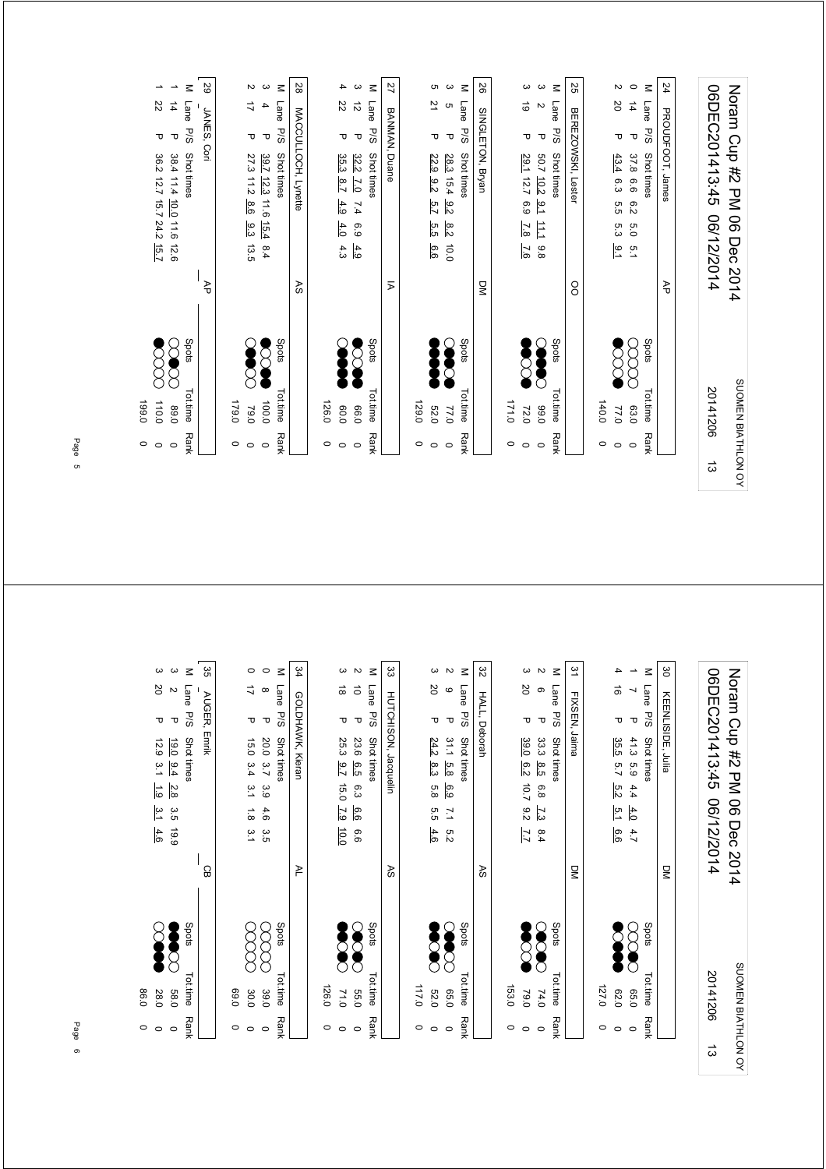|                    | $\circ$     | 199.0           |       |                  |                                                                            |                      |                   |
|--------------------|-------------|-----------------|-------|------------------|----------------------------------------------------------------------------|----------------------|-------------------|
|                    | $\circ$     | 110.0           |       |                  | τ<br>36.2 12.7 15.7 24.2 15.7                                              | 22                   | ∸                 |
|                    | $\circ$     | 0'68            |       |                  | $\mathbf \sigma$<br>38.4 11.4 10.0 11.6<br>12.6                            | $\overrightarrow{4}$ | $\rightarrow$     |
|                    | <b>Rank</b> | Tot.time        | Spots |                  | P/S<br>Shot times                                                          | Lane                 | $\leq$            |
|                    |             |                 |       | ₹                | JANES, Cori                                                                |                      | 29                |
|                    | $\circ$     | 0.651           |       |                  |                                                                            |                      |                   |
|                    | $\circ$     | 79.0            |       |                  | ᠊ᠣ<br>27.3 11.2<br>8.6<br>9.3<br>13.5                                      | $\overrightarrow{L}$ | $\sim$            |
|                    | $\circ$     | 100.0           |       |                  | $\mathbf \sigma$<br>39.7 12.3 11.6<br>15.4<br>8.4                          | 4                    | ပ                 |
|                    | <b>Rank</b> | <b>Tot.time</b> | Spots |                  | <b>P/S</b><br>Shot times                                                   | Lane                 | $\leq$            |
|                    |             |                 |       | RS               | MACCULLOCH, Lynette                                                        |                      | 28                |
|                    | $\circ$     | 126.0           |       |                  |                                                                            |                      |                   |
|                    | $\circ$     | 0.09            |       |                  | τ<br>35.3<br>8.7<br>4.9<br>4.0<br>4.3                                      | 22                   | 4                 |
|                    | $\circ$     | 0.66            |       |                  | $\mathbf \sigma$<br>32.2<br>$\overline{C}$<br>$\overline{t}$<br>6.9<br>4.9 | $\vec{v}$            | ယ                 |
|                    | Rank        | Tot.time        | Spots |                  | P/S<br>Shot times                                                          | Lane                 | $\leq$            |
|                    |             |                 |       | Σ                | BANMAN, Duane                                                              |                      | 27                |
|                    | $\circ$     | 129.0           |       |                  |                                                                            |                      |                   |
|                    | $\circ$     | 52.0            |       |                  | Δ<br>22.9<br>$\frac{9.2}{2}$<br>5.7<br>5.5<br>9.9                          | 21                   | c                 |
|                    | $\circ$     | 0'22            |       |                  | $\mathbf \sigma$<br>28.3<br>15.4<br>$\frac{8}{5}$<br>$\frac{8}{2}$<br>0.0  | G                    | ယ                 |
|                    | <b>Rank</b> | Tot.time        | Spots |                  | P/S<br>Shot times                                                          | Lane                 | $\leq$            |
|                    |             |                 |       | $\sum_{i=1}^{n}$ | SINGLETON, Bryan                                                           |                      | 92                |
|                    | 0           | 0.171           |       |                  |                                                                            |                      |                   |
|                    | $\circ$     | 72.0            |       |                  | ᠊ᠣ<br>29.1 12.7<br>6.9<br>$\overline{7.8}$<br>7.6                          | $\vec{\circ}$        | ယ                 |
|                    | $\circ$     | 0.09            |       |                  | $\mathbf \sigma$<br>50.7 10.2<br>$\frac{9}{4}$<br>11.1<br>8.8              | $\sim$               | $\mathbf{\omega}$ |
|                    | <b>Rank</b> | Tot.time        | Spots |                  | <b>P/S</b><br>Shot times                                                   | Lane                 | $\leq$            |
|                    |             |                 |       | $\overline{O}$   | BEREZOWSKI, Lester                                                         |                      | 55                |
|                    | $\circ$     | 140.0           |       |                  |                                                                            |                      |                   |
|                    | $\circ$     | 77.0            |       |                  | ᠊ᠣ<br>43.4<br>စ်<br>5.5<br>53<br>$\frac{1}{2}$                             | SO                   | $\sim$            |
|                    | $\circ$     | 63.0            |       |                  | $\mathbf \sigma$<br>37.8<br>6.6<br>6.2<br>0.9<br>5.1                       | $\overrightarrow{4}$ | $\circ$           |
|                    | Rank        | Tot.time        | Spots |                  | <b>P/S</b><br>Shot times                                                   | Lane                 | $\leq$            |
|                    |             |                 |       | ₹                | PROUDFOOT, James                                                           |                      | 24                |
|                    |             |                 |       |                  |                                                                            |                      |                   |
| ದ                  |             | 20141206        |       |                  | 06DEC201413:45<br>06/12/2014                                               |                      |                   |
| SUOMEN BIATHLON OY |             |                 |       | 2014             | Noram Crp #2 PM 06<br>Dec                                                  |                      |                   |
|                    |             |                 |       |                  |                                                                            |                      |                   |

| မွ<br>ပ္တ<br>34<br>జ<br>32<br>51<br>ယ<br>$\circ$<br>$\boldsymbol{\mathsf{N}}$<br>$\leq$<br>$\circ$<br>$\leq$<br>ယ<br>$\sim$<br>$\leq$<br>ယ<br>$\sim$<br>$\leq$<br>ယ<br>$\leq$<br>$\leq$<br>4<br>$\overline{\phantom{a}}$<br>06DEC201413:45<br>Noram Cram<br>Noram Cram<br><b>SO</b><br>20<br>ゴ<br>ಹ<br>ಹ<br>ੋ<br>Lane<br>Lane<br>Lane<br>Lane<br>Lane<br>Lane<br>$\circ$<br>ၜ<br>$\boldsymbol{\mathsf{N}}$<br>$^\infty$<br>↘<br>HUTCHISON, Jacquelin<br>KEENLISIDE, Julia<br>HALL,<br>FIXSEN, Jaima<br>AUGER,<br>GOLDHAWK, Kieran<br>P/S<br>P/S<br>P/S<br>P/S<br>P/S<br><b>P/S</b><br>$\mathbf \sigma$<br>$\mathbf \sigma$<br>$\mathbf \sigma$<br>$\mathbf \sigma$<br>$\mathbf \sigma$<br>τ<br>τ<br>᠊ᠣ<br>τ<br>Δ<br>᠊ᠣ<br>Deborah<br>Emrik<br>Shot times<br>Shot times<br>Shot times<br>Shot times<br>Shot times<br>31.1<br>Shot times<br>35.5<br>41.3<br>15.0<br>20.0<br>25.3<br>23.6<br>24.2<br>39.0<br>33.3<br>19.0 9.4<br>8.5<br>5.8<br>3.7<br>6.5<br>6.7<br>6.9<br>6.2<br>5.7<br>3.4<br>စ္လွ<br>10.7<br>15.0<br>5.8<br>$\tilde{5}$<br>6.3<br>6.9<br>6.8<br>$\frac{2}{8}$<br>$\frac{5}{2}$<br>3.9<br>4.4<br>06 Dec 2014<br>06/12/2014<br>6.6<br>0.2<br>7.3<br>$\overline{7.9}$<br>ن<br>د<br>4.0<br>3.5<br>4.6<br>5.5<br>$\frac{1}{8}$<br>7.1<br>661<br>10.0<br>3.5<br>6.6<br>$\tilde{3}$ .<br>4.6<br>5.2<br>8.4<br>6.6<br>7.7<br>4.7<br>$\overline{\mathsf{S}}$<br>$\overline{\mathsf{S}}$<br>ဥ္ပ<br>≥<br>88<br>R<br>Spots<br>Spots<br>Spots<br>Spots<br>Spots<br>Spots<br>C<br>J.<br>◠<br>SUOMEN BIATHLON OY<br>20141206<br>Tot.time<br>Tot.time<br>Tot.time<br>Tot.time<br>Tot.time<br>Tot.time<br>126.0<br>153.0<br>117.0<br>127.0<br>039<br>0.56<br>0.50<br>069<br>52.0<br>020<br>089<br>30.0<br>39.0<br>71.0<br>79.0<br>74.0<br><b>Rank</b><br><b>Rank</b><br><b>Rank</b><br>Rank<br><b>Rank</b><br>Rank<br>$\circ$<br>$\circ$<br>$\circ$<br>$\circ$<br>$\circ$<br>$\circ$<br>$\circ$<br>$\circ$<br>$\circ$<br>O<br>$\circ$<br>$\circ$<br>$\circ$<br>$\circ$<br>$\circ$<br>$\circ$<br>$\vec{\omega}$ | 0<br>$\circ$ | 0.98<br>28.0 |  | $\frac{3}{4}$<br>4.6 | $\frac{1}{6}$ | $\frac{3}{7}$ | 12.9 | τ | 2O | ယ |
|---------------------------------------------------------------------------------------------------------------------------------------------------------------------------------------------------------------------------------------------------------------------------------------------------------------------------------------------------------------------------------------------------------------------------------------------------------------------------------------------------------------------------------------------------------------------------------------------------------------------------------------------------------------------------------------------------------------------------------------------------------------------------------------------------------------------------------------------------------------------------------------------------------------------------------------------------------------------------------------------------------------------------------------------------------------------------------------------------------------------------------------------------------------------------------------------------------------------------------------------------------------------------------------------------------------------------------------------------------------------------------------------------------------------------------------------------------------------------------------------------------------------------------------------------------------------------------------------------------------------------------------------------------------------------------------------------------------------------------------------------------------------------------------------------------------------------------------------------------------------------------------------------------------------------------------------------------------------------------------------------------------|--------------|--------------|--|----------------------|---------------|---------------|------|---|----|---|
|                                                                                                                                                                                                                                                                                                                                                                                                                                                                                                                                                                                                                                                                                                                                                                                                                                                                                                                                                                                                                                                                                                                                                                                                                                                                                                                                                                                                                                                                                                                                                                                                                                                                                                                                                                                                                                                                                                                                                                                                               |              |              |  |                      |               |               |      |   |    |   |
|                                                                                                                                                                                                                                                                                                                                                                                                                                                                                                                                                                                                                                                                                                                                                                                                                                                                                                                                                                                                                                                                                                                                                                                                                                                                                                                                                                                                                                                                                                                                                                                                                                                                                                                                                                                                                                                                                                                                                                                                               |              |              |  |                      |               |               |      |   |    |   |
|                                                                                                                                                                                                                                                                                                                                                                                                                                                                                                                                                                                                                                                                                                                                                                                                                                                                                                                                                                                                                                                                                                                                                                                                                                                                                                                                                                                                                                                                                                                                                                                                                                                                                                                                                                                                                                                                                                                                                                                                               |              |              |  |                      |               |               |      |   |    |   |
|                                                                                                                                                                                                                                                                                                                                                                                                                                                                                                                                                                                                                                                                                                                                                                                                                                                                                                                                                                                                                                                                                                                                                                                                                                                                                                                                                                                                                                                                                                                                                                                                                                                                                                                                                                                                                                                                                                                                                                                                               |              |              |  |                      |               |               |      |   |    |   |
|                                                                                                                                                                                                                                                                                                                                                                                                                                                                                                                                                                                                                                                                                                                                                                                                                                                                                                                                                                                                                                                                                                                                                                                                                                                                                                                                                                                                                                                                                                                                                                                                                                                                                                                                                                                                                                                                                                                                                                                                               |              |              |  |                      |               |               |      |   |    |   |
|                                                                                                                                                                                                                                                                                                                                                                                                                                                                                                                                                                                                                                                                                                                                                                                                                                                                                                                                                                                                                                                                                                                                                                                                                                                                                                                                                                                                                                                                                                                                                                                                                                                                                                                                                                                                                                                                                                                                                                                                               |              |              |  |                      |               |               |      |   |    |   |
|                                                                                                                                                                                                                                                                                                                                                                                                                                                                                                                                                                                                                                                                                                                                                                                                                                                                                                                                                                                                                                                                                                                                                                                                                                                                                                                                                                                                                                                                                                                                                                                                                                                                                                                                                                                                                                                                                                                                                                                                               |              |              |  |                      |               |               |      |   |    |   |
|                                                                                                                                                                                                                                                                                                                                                                                                                                                                                                                                                                                                                                                                                                                                                                                                                                                                                                                                                                                                                                                                                                                                                                                                                                                                                                                                                                                                                                                                                                                                                                                                                                                                                                                                                                                                                                                                                                                                                                                                               |              |              |  |                      |               |               |      |   |    |   |
|                                                                                                                                                                                                                                                                                                                                                                                                                                                                                                                                                                                                                                                                                                                                                                                                                                                                                                                                                                                                                                                                                                                                                                                                                                                                                                                                                                                                                                                                                                                                                                                                                                                                                                                                                                                                                                                                                                                                                                                                               |              |              |  |                      |               |               |      |   |    |   |
|                                                                                                                                                                                                                                                                                                                                                                                                                                                                                                                                                                                                                                                                                                                                                                                                                                                                                                                                                                                                                                                                                                                                                                                                                                                                                                                                                                                                                                                                                                                                                                                                                                                                                                                                                                                                                                                                                                                                                                                                               |              |              |  |                      |               |               |      |   |    |   |
|                                                                                                                                                                                                                                                                                                                                                                                                                                                                                                                                                                                                                                                                                                                                                                                                                                                                                                                                                                                                                                                                                                                                                                                                                                                                                                                                                                                                                                                                                                                                                                                                                                                                                                                                                                                                                                                                                                                                                                                                               |              |              |  |                      |               |               |      |   |    |   |
|                                                                                                                                                                                                                                                                                                                                                                                                                                                                                                                                                                                                                                                                                                                                                                                                                                                                                                                                                                                                                                                                                                                                                                                                                                                                                                                                                                                                                                                                                                                                                                                                                                                                                                                                                                                                                                                                                                                                                                                                               |              |              |  |                      |               |               |      |   |    |   |
|                                                                                                                                                                                                                                                                                                                                                                                                                                                                                                                                                                                                                                                                                                                                                                                                                                                                                                                                                                                                                                                                                                                                                                                                                                                                                                                                                                                                                                                                                                                                                                                                                                                                                                                                                                                                                                                                                                                                                                                                               |              |              |  |                      |               |               |      |   |    |   |
|                                                                                                                                                                                                                                                                                                                                                                                                                                                                                                                                                                                                                                                                                                                                                                                                                                                                                                                                                                                                                                                                                                                                                                                                                                                                                                                                                                                                                                                                                                                                                                                                                                                                                                                                                                                                                                                                                                                                                                                                               |              |              |  |                      |               |               |      |   |    |   |
|                                                                                                                                                                                                                                                                                                                                                                                                                                                                                                                                                                                                                                                                                                                                                                                                                                                                                                                                                                                                                                                                                                                                                                                                                                                                                                                                                                                                                                                                                                                                                                                                                                                                                                                                                                                                                                                                                                                                                                                                               |              |              |  |                      |               |               |      |   |    |   |
|                                                                                                                                                                                                                                                                                                                                                                                                                                                                                                                                                                                                                                                                                                                                                                                                                                                                                                                                                                                                                                                                                                                                                                                                                                                                                                                                                                                                                                                                                                                                                                                                                                                                                                                                                                                                                                                                                                                                                                                                               |              |              |  |                      |               |               |      |   |    |   |
|                                                                                                                                                                                                                                                                                                                                                                                                                                                                                                                                                                                                                                                                                                                                                                                                                                                                                                                                                                                                                                                                                                                                                                                                                                                                                                                                                                                                                                                                                                                                                                                                                                                                                                                                                                                                                                                                                                                                                                                                               |              |              |  |                      |               |               |      |   |    |   |
|                                                                                                                                                                                                                                                                                                                                                                                                                                                                                                                                                                                                                                                                                                                                                                                                                                                                                                                                                                                                                                                                                                                                                                                                                                                                                                                                                                                                                                                                                                                                                                                                                                                                                                                                                                                                                                                                                                                                                                                                               |              |              |  |                      |               |               |      |   |    |   |
|                                                                                                                                                                                                                                                                                                                                                                                                                                                                                                                                                                                                                                                                                                                                                                                                                                                                                                                                                                                                                                                                                                                                                                                                                                                                                                                                                                                                                                                                                                                                                                                                                                                                                                                                                                                                                                                                                                                                                                                                               |              |              |  |                      |               |               |      |   |    |   |
|                                                                                                                                                                                                                                                                                                                                                                                                                                                                                                                                                                                                                                                                                                                                                                                                                                                                                                                                                                                                                                                                                                                                                                                                                                                                                                                                                                                                                                                                                                                                                                                                                                                                                                                                                                                                                                                                                                                                                                                                               |              |              |  |                      |               |               |      |   |    |   |
|                                                                                                                                                                                                                                                                                                                                                                                                                                                                                                                                                                                                                                                                                                                                                                                                                                                                                                                                                                                                                                                                                                                                                                                                                                                                                                                                                                                                                                                                                                                                                                                                                                                                                                                                                                                                                                                                                                                                                                                                               |              |              |  |                      |               |               |      |   |    |   |
|                                                                                                                                                                                                                                                                                                                                                                                                                                                                                                                                                                                                                                                                                                                                                                                                                                                                                                                                                                                                                                                                                                                                                                                                                                                                                                                                                                                                                                                                                                                                                                                                                                                                                                                                                                                                                                                                                                                                                                                                               |              |              |  |                      |               |               |      |   |    |   |
|                                                                                                                                                                                                                                                                                                                                                                                                                                                                                                                                                                                                                                                                                                                                                                                                                                                                                                                                                                                                                                                                                                                                                                                                                                                                                                                                                                                                                                                                                                                                                                                                                                                                                                                                                                                                                                                                                                                                                                                                               |              |              |  |                      |               |               |      |   |    |   |
|                                                                                                                                                                                                                                                                                                                                                                                                                                                                                                                                                                                                                                                                                                                                                                                                                                                                                                                                                                                                                                                                                                                                                                                                                                                                                                                                                                                                                                                                                                                                                                                                                                                                                                                                                                                                                                                                                                                                                                                                               |              |              |  |                      |               |               |      |   |    |   |
|                                                                                                                                                                                                                                                                                                                                                                                                                                                                                                                                                                                                                                                                                                                                                                                                                                                                                                                                                                                                                                                                                                                                                                                                                                                                                                                                                                                                                                                                                                                                                                                                                                                                                                                                                                                                                                                                                                                                                                                                               |              |              |  |                      |               |               |      |   |    |   |
|                                                                                                                                                                                                                                                                                                                                                                                                                                                                                                                                                                                                                                                                                                                                                                                                                                                                                                                                                                                                                                                                                                                                                                                                                                                                                                                                                                                                                                                                                                                                                                                                                                                                                                                                                                                                                                                                                                                                                                                                               |              |              |  |                      |               |               |      |   |    |   |
|                                                                                                                                                                                                                                                                                                                                                                                                                                                                                                                                                                                                                                                                                                                                                                                                                                                                                                                                                                                                                                                                                                                                                                                                                                                                                                                                                                                                                                                                                                                                                                                                                                                                                                                                                                                                                                                                                                                                                                                                               |              |              |  |                      |               |               |      |   |    |   |
|                                                                                                                                                                                                                                                                                                                                                                                                                                                                                                                                                                                                                                                                                                                                                                                                                                                                                                                                                                                                                                                                                                                                                                                                                                                                                                                                                                                                                                                                                                                                                                                                                                                                                                                                                                                                                                                                                                                                                                                                               |              |              |  |                      |               |               |      |   |    |   |
|                                                                                                                                                                                                                                                                                                                                                                                                                                                                                                                                                                                                                                                                                                                                                                                                                                                                                                                                                                                                                                                                                                                                                                                                                                                                                                                                                                                                                                                                                                                                                                                                                                                                                                                                                                                                                                                                                                                                                                                                               |              |              |  |                      |               |               |      |   |    |   |
|                                                                                                                                                                                                                                                                                                                                                                                                                                                                                                                                                                                                                                                                                                                                                                                                                                                                                                                                                                                                                                                                                                                                                                                                                                                                                                                                                                                                                                                                                                                                                                                                                                                                                                                                                                                                                                                                                                                                                                                                               |              |              |  |                      |               |               |      |   |    |   |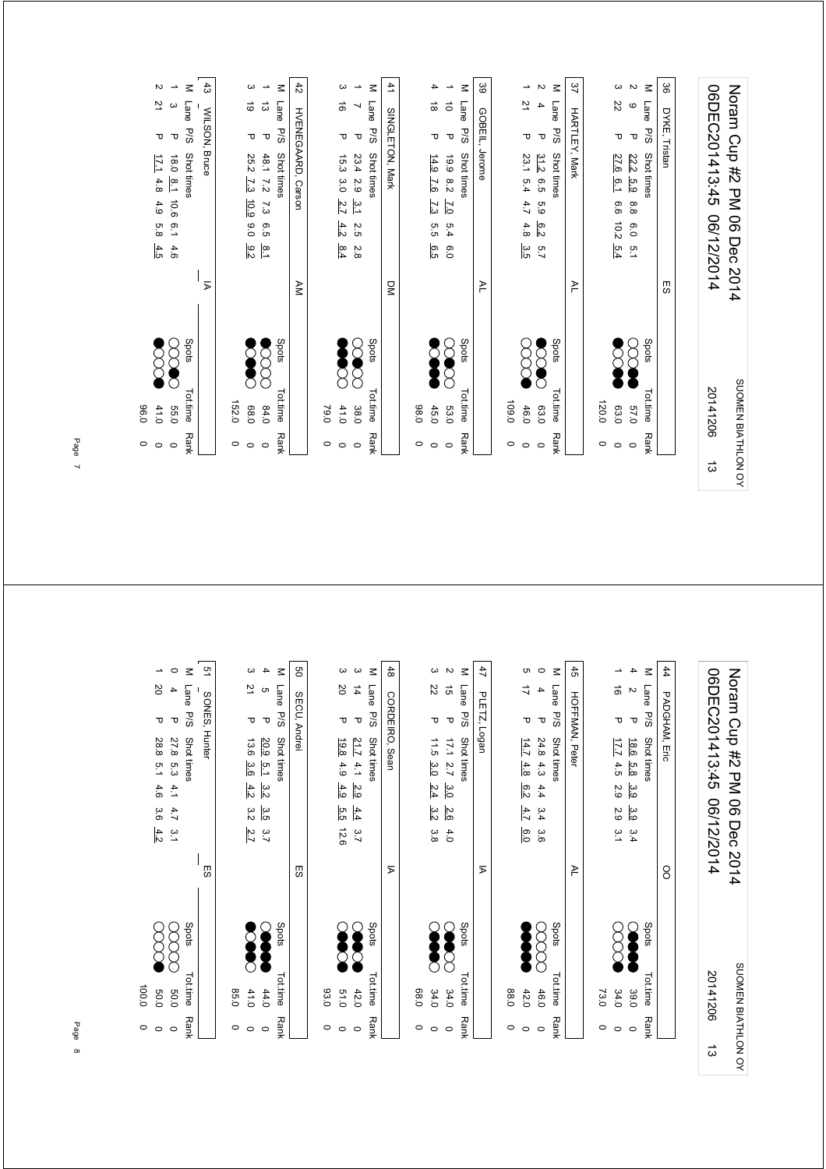|   |                    | 0.96               |       |                         |                             |      |                   |                  |                      |                  |                       |                          |
|---|--------------------|--------------------|-------|-------------------------|-----------------------------|------|-------------------|------------------|----------------------|------------------|-----------------------|--------------------------|
|   | $\circ$<br>$\circ$ | 41.0               |       |                         | 4.5                         | 5.8  | 4.9               |                  | 17.14.8              | ᠊ᠣ               | 21                    | $\sim$                   |
|   | $\circ$            | 039                |       |                         | 4.6                         | i.a  | 10.6              | $\overline{18}$  | 0.81                 | $\mathbf \tau$   | $\boldsymbol{\omega}$ | $\overline{\phantom{a}}$ |
|   | <b>Rank</b>        | Tot.time           | Spots |                         |                             |      |                   |                  | Shot times           | 5/5              | Lane                  | $\leq$                   |
|   |                    |                    |       | Σ                       |                             |      |                   |                  | WILSON, Bruce        |                  |                       | ದೆ                       |
|   | $\circ$            | 152.0              |       |                         |                             |      |                   |                  |                      |                  |                       |                          |
|   | $\circ$            | 089                |       |                         | 9.2                         | 0.0  | 10.9              | $\overline{7.3}$ | 25.2                 | Δ                | 6                     | က                        |
|   | $\circ$            | 84.0               |       |                         | $\frac{8}{1}$               | 6.5  | 73                | 7.2              | 48.1                 | $\mathbf \sigma$ | $\vec{\omega}$        | ∸                        |
|   | <b>Rank</b>        | <b>Tot time</b>    | Spots |                         |                             |      |                   |                  | Shot times           | <b>P/S</b>       | Lane                  | $\leq$                   |
|   |                    |                    |       | NA                      |                             |      |                   |                  | HVENEGAARD, Carson   |                  |                       | 42                       |
|   | $\circ$            | 79.0               |       |                         |                             |      |                   |                  |                      |                  |                       |                          |
|   | $\circ$            | 41.0               |       |                         | 8.4                         | 4.2  |                   | 3.0              | 15.3                 | τ                | $\vec{0}$             | ω                        |
|   | $\circ$            | 38.0               | ⌒     | - 1                     | 2.8                         | 2.5  | $\frac{3.1}{2.7}$ | 5.9              | 23.4                 | $\mathbf \sigma$ | ↘                     | $\overline{\phantom{a}}$ |
|   | Rank               | Tot.time           | Spots |                         |                             |      |                   |                  | <b>Shot times</b>    | P/S              | Lane                  | $\leq$                   |
|   |                    |                    |       | $\overline{\mathsf{x}}$ |                             |      |                   |                  | SINGLETON, Mark      |                  |                       | 41                       |
|   | $\circ$            | 0.86               |       |                         |                             |      |                   |                  |                      |                  |                       |                          |
|   | $\circ$            | 45.0               |       |                         | 6.5                         | 5.5  | 7.3               | 7.6              | 14.9                 | ᠊ᠣ               | $\vec{0}$             | 4                        |
|   | $\circ$            | 53.0               | Õ     | n.                      | 0.9                         | 5.4  | $\overline{C}$    | 8.2              | 6.9                  | $\mathbf \sigma$ | $\vec{o}$             | $\overline{\phantom{a}}$ |
|   | Rank               | Tot.time           | Spots |                         |                             |      |                   |                  | Shot times           | P/S              | Lane                  | $\leq$                   |
|   |                    |                    |       | ≧                       |                             |      |                   |                  | Jerome               | GOBEIL,          |                       | 39                       |
|   | 0                  | 109.0              |       |                         |                             |      |                   |                  |                      |                  |                       |                          |
|   | $\circ$            | 46.0               |       |                         | 3.5                         | 4.8  | 4.7               | 5.4              | 23.1                 | ᠊ᠣ               | 21                    | →                        |
|   | $\circ$            | 63.0               |       |                         | $\overline{5}.7$            | 6.2  | 63                | 6.5              | 31.2                 | $\mathbf \sigma$ | 4                     | Z                        |
|   | Rank               | Tot.time           | Spots |                         |                             |      |                   |                  | Shot times           | P/S              | Lane                  | $\leq$                   |
|   |                    |                    |       | $\geq$                  |                             |      |                   |                  | <b>HARTLEY, Mark</b> |                  |                       | 37                       |
|   | $\circ$            | 120.0              |       |                         |                             |      |                   |                  |                      |                  |                       |                          |
|   | $\circ$            | 63.0               |       |                         | 5.4                         | 10.2 | 9.6               | 6.1              | 27.6                 | ᠊ᠣ               | ZZ                    | $\boldsymbol{\omega}$    |
|   | $\circ$            | 57.0               |       |                         | 5.1                         | 6.0  | 8.8               | 5.9              | 22.2                 | $\mathbf \sigma$ | $\mathbf{\circ}$      | $\overline{\mathsf{c}}$  |
|   | Rank               | Tot.time           | Spots |                         |                             |      |                   |                  | Shot times           | P/S              | Lane                  | $\leq$                   |
|   |                    |                    |       | 53                      |                             |      |                   |                  |                      | DYKE, Tristan    |                       | မ္တ                      |
|   |                    |                    |       |                         |                             |      |                   |                  |                      |                  |                       |                          |
| ದ |                    | 20141206           |       |                         | 06/12/2014                  |      |                   |                  | 06DEC201413:45       |                  |                       |                          |
|   |                    | SUOMEN BIATHLON OY |       |                         | Noram Crp #2 DM 06 Dec 2014 |      |                   |                  |                      |                  |                       |                          |

 $\ddot{4}$  $3 \t 3 \t 50$  51 48  $\frac{1}{2}$  47 44 PADGHAM, Eric 50 M Lane P/S Shot times  $\sigma$  $\circ$ M Lane P/S Shot times 45 HOFFMAN, Peter M Lane P/S Shot times  $\rightarrow$  $\circ$ M Lane P/S Shot times  $\omega$ M Lane P/S Shot times M Lane P/S Shot times  $4 +$ 06DEC201413:45 06/12/2014 Noram Cup #2 PM 06 Dec 2014 1 20 P 28.8 5.1 4.2 2.9 3.6 4.2 2.0 2.0 P 50.0 0 0 2.0 P 2.0 P 2.0 P 2.0 P 2.0 P 2.0 P 2.0 P 2.0 P 2.0 P 2.0 P 2.0 P 2.0 P 2.0 P 2.0 P 2.0 P 2.0 P 2.0 P 2.0 P 2.0 P 2.0 P 2.0 P 2.0 P 2.0 P 2.0 P 2.0 P 2.0 P 2.0 P 2.0 P 2. 0 4 P 27.8 5.3 4.1 4.7 3.1 (XXXX) 50.0 0  $3 \quad 21 \quad P \quad P \quad 13.6 \quad 3.6 \quad 4.2 \quad 3.2 \quad 2.7$ 4 5 P 20.9 5.1 3.2 3.5 3.7 () 0 12.6 5.5 4.9 4.9 3.0 4.9 3.0 P 12.6 2.6 2.1 P 1.0 9.1 D 1.0 2.1 D 1.0 D 1.0 D 1.0 D 1.0 D 1.0 D 1.0 D 1.0 D 1 0 3 14 P 21.7 4.1 2.9 4.4 3.7 (2) P 2.0 0 0 2.2.0 D 0 22 P 11.5 3.0 2.4 3.2 3.8 P 11.5 3.0 2.4 P 11.5 3.0 2.4 P 11.5 P 11.5 P 11.5 P 11.5 P 11.5 P 11.5 P 11.5 P 1 2 15 P 17.1 2.7 3.0 2.6 4.0 () S 2.0 3.0 3.0 3.0 0 0 6.0 4.7 4.8 42.0 6.2 5 17 P 14.7 0 4 P 24.8 4.3 4.4 3.4 3.6  $(X \times X)$  46.0 0 1 16 P 17.7 4.5 2.9 2.9 3.1 ( X X X X 2.0 0 4 2 P 18.6 5.8 3.9 3.4 ()<br>
4 2 P 18.6 5.8 3.9 3.4 06DEC201413:45 06/12/2014 Noram Cup #2 PM 06 Dec 2014  $\frac{1}{2}$ ຕ<br>ຕ  $\overline{a}$  $\frac{1}{6}$  N  $\ddot{a}$  $\overline{z}$  $\overline{\mathrm{S}}$  $\overrightarrow{L}$ PLETZ, Logan SECU, Andrei CORDEIRO, Sean SONES, Hunter SONES, Hunter SECU, Andrei CORDEIRO, Sean PLETZ, Logan HOFFMAN, Peter PADGHAM, Eric  $\sigma$   $\sigma$ P 27.8 5.3 4.1 4.7 3.1<br>P 28.8 5.1 4.6 3.6 4.2 P 20.9 5.1 3.2 3.5 3.7<br>P 13.6 3.6 4.2 3.2 2.7 P 17.1  $2.7$   $\frac{3.0}{2.4}$   $\frac{2.6}{3.2}$  3.8<br>P 11.5  $\frac{3.0}{3.0}$   $\frac{2.4}{2.4}$  3.8 P 24.8 4.3 4.4 3.4 3.6<br>P 14.7 4.8 6.2 4.7 6.0 P  $\frac{18.6}{17.7}$  4.5 2.9 2.9 3.1<br>P  $\frac{17.7}{17.7}$  4.5 2.9 2.9 3.1 Py Spots Tot.time Rank Shot times P/S Shot times Shots Shots Tot.time Rank Py Spots Tot.time Rank Shot times P/S Shot times  $\sim$  Shots Shots Tot.time P/S Shot times Py Spots Tot.time Rank Shot times P/S Shot times  $\sim$  Shots Shots Tot.time P/S Shot times  $\frac{21.7}{19.8}$  4.1  $\frac{2.9}{4.9}$   $\frac{4.4}{5.5}$  12.6 OO ES ES  $\overline{p}$  $\overline{p}$ AL  $\frac{1}{2}$ 88  $\begin{matrix} \bullet & \bullet & \bullet \\ \bullet & \bullet & \bullet \end{matrix}$ Season<br>Constant 80000  $\infty$ Spots **Spots**  $\infty$  $\infty$ stods S Spots **Spots** SUOMEN BIATHLON OY Tot.time Rank Tot.time Rank Tot.time Rank Tot.time Rank Tot.time Rank Tot.time 20141206 2014120650.0 **50.0**  $41.0$  $44.0$  $42.0$  100.0  $0.15$  $34.0$ <br> $34.0$  $46.0$ <br> $42.0$  $34.0$ 39.0 85.0 85.0 0 03.0 93.0 0 68.0 68.0 0 88.0 88.0 0 73.0 73.0 0  $\circ$   $\circ$ Rank  $\circ$   $\circ$  $\circ$   $\circ$  $\circ$   $\circ$  $\circ$  $\circ$  $\circ$   $\circ$   $\circ$  $\circ$   $\circ$  $\circ$  $\circ$  $\frac{1}{3}$ 

SUOMEN BIATHLON OY

Page 7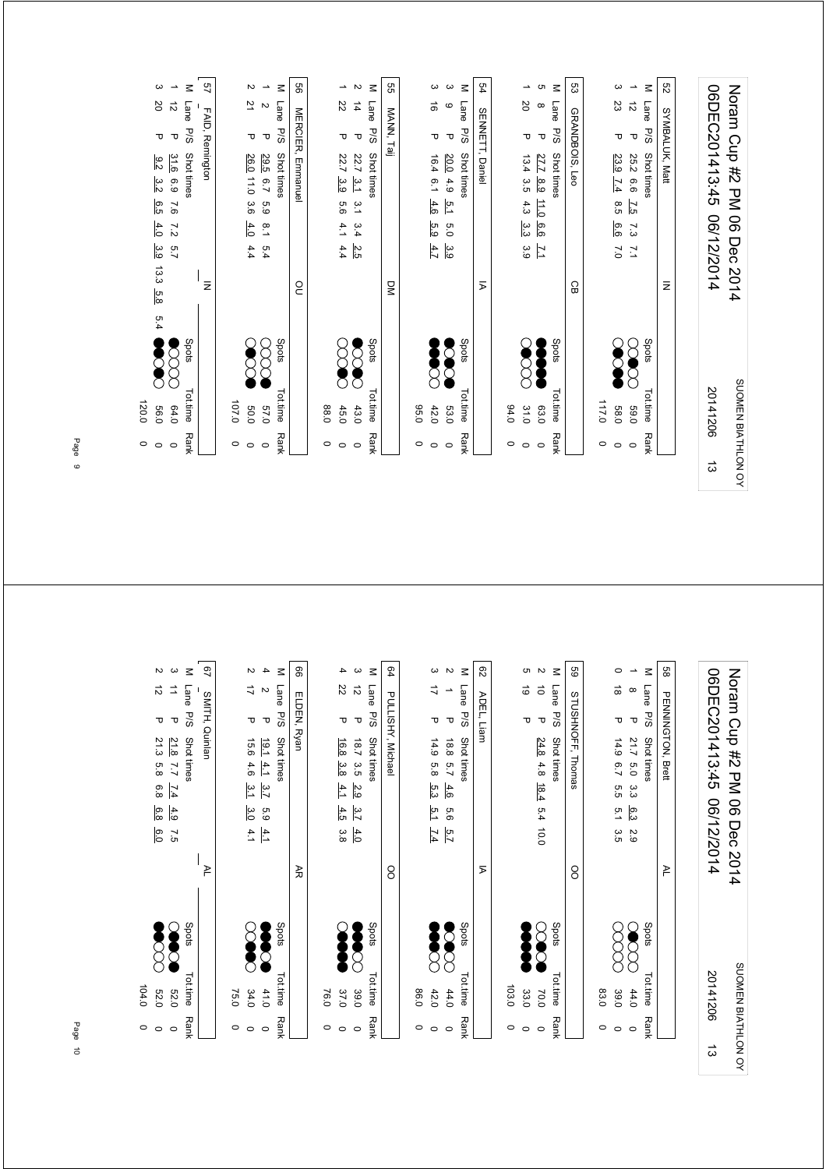|   | $\circ$     | 120.0              |       |     |                |                 |                |                  |                    |      |                  |                        |                          |
|---|-------------|--------------------|-------|-----|----------------|-----------------|----------------|------------------|--------------------|------|------------------|------------------------|--------------------------|
|   | $\circ$     | 0.95               |       | 5.4 | 13.3 5.8       | 3.9             | 4.0            | 6.5              | 3.2                | 8.2  | τ                | <b>SO</b>              | $\boldsymbol{\omega}$    |
|   | $\circ$     | 64.0               |       |     |                | 2.7             | $\overline{z}$ | 9'               | 6.9                | 31.6 | $\mathbf \sigma$ | $\vec{v}$              | $\overline{\phantom{a}}$ |
|   | <b>Rank</b> | <b>Tot.time</b>    | Spots |     |                |                 |                |                  | Shot times         |      | P/S              | Lane                   | Μ                        |
|   |             |                    |       |     | $\bar{z}$      |                 |                |                  |                    |      | FAID, Remington  |                        | 57                       |
|   | $\circ$     | 107.0              |       |     |                |                 |                |                  |                    |      |                  |                        |                          |
|   | $\circ$     | 0.05               |       |     |                | 4.4             | 4.0            | 3.6              | 26.0 11.0          |      | Δ                | 21                     | N                        |
|   | $\circ$     | 0'/9               |       |     |                | 5.4             | $\frac{8}{1}$  | 63               | 6.7                | 29.5 | $\mathbf \sigma$ | $\mathbf w$            | $\overline{\phantom{a}}$ |
|   | Rank        | Tot.time           | Spots |     |                |                 |                |                  | Shot times         |      | P/S              | Lane                   | $\leq$                   |
|   |             |                    |       |     | OO             |                 |                |                  | MERCIER, Emmanuel  |      |                  |                        | 8                        |
|   | $\circ$     | 0.88               |       |     |                |                 |                |                  |                    |      |                  |                        |                          |
|   | $\circ$     | 45.0               |       |     |                | 4.4             | 4.1            | 5.6              | ပ္ပ                | 22.7 | ᠊ᠣ               | 22                     | →                        |
|   | $\circ$     | 43.0               |       |     |                | 2.5             | 3.4            | يَّ              | $\frac{31}{2}$     | 22.7 | $\mathbf \sigma$ | $\frac{1}{4}$          | Z                        |
|   | <b>Rank</b> | Tottime            | Spots |     |                |                 |                |                  | Shot times         |      | <b>P/S</b>       | Lane                   | Μ                        |
|   |             |                    |       |     | $\overline{S}$ |                 |                |                  |                    |      | MANN, Taij       |                        | g                        |
|   | $\circ$     | 0.56               |       |     |                |                 |                |                  |                    |      |                  |                        |                          |
|   | $\circ$     | 42.0               |       |     |                | $\frac{4.7}{4}$ | 5.9            | 4.6              | 6.1                | 16.4 | Δ                | ಹ                      | ယ                        |
|   | $\circ$     | <b>53.0</b>        |       |     |                | ာ<br>၁          | Ο.             | 5.1              | 4.9                | 20.0 | $\mathbf \sigma$ | $\mathbf  \circ$       | ω                        |
|   | <b>Rank</b> | Tot.time           | Spots |     |                |                 |                |                  | Shot times         |      | <b>P/S</b>       | <b>Lane</b>            | $\leq$                   |
|   |             |                    |       |     | $\overline{P}$ |                 |                |                  |                    |      | SENNETT, Daniel  |                        | 54                       |
|   | 0           | 94.0               |       |     |                |                 |                |                  |                    |      |                  |                        |                          |
|   | $\circ$     | 31.0               |       |     |                | ە:<br>©         | သ္ပ            | 4.3              | 3.5                | 13.4 | ᠊ᠣ               | SO                     | ∸                        |
|   | $\circ$     | 63.0               |       |     |                | $\overline{L}$  | 6.6            | $\frac{11.0}{2}$ | 8.9                | 27.7 | $\mathbf \sigma$ | $\infty$               | c                        |
|   | <b>Rank</b> | Tot.time           | Spots |     |                |                 |                |                  | Shot times         |      | <b>P/S</b>       | Lane                   | $\leq$                   |
|   |             |                    |       |     | CB             |                 |                |                  |                    |      | GRANDBOIS, Leo   |                        | ပ္ပ                      |
|   | O           | 117.0              |       |     |                |                 |                |                  |                    |      |                  |                        |                          |
|   | $\circ$     | 58.0               |       |     |                | $\overline{0}$  | 6.6            | 8.5              | $\overline{7.4}$   | 23.9 | ᠊ᠣ               | 23                     | ယ                        |
|   | $\circ$     | 0'69               |       |     |                | $\overline{2}$  | 7.3            | $\overline{2.5}$ | 9.9                | 25.2 | $\mathbf \sigma$ | $\vec{\tilde{\omega}}$ | $\overline{\phantom{a}}$ |
|   | <b>Rank</b> | <b>Tot.time</b>    | Spots |     |                |                 |                |                  | Shot times         |      | P/S              | <b>Lane</b>            | $\leq$                   |
|   |             |                    |       |     | $\bar{z}$      |                 |                |                  |                    |      | SYMBALUK, Matt   |                        | S2                       |
|   |             |                    |       |     |                |                 |                |                  |                    |      |                  |                        |                          |
| ದ |             | 20141206           |       |     |                | 06/12/2014      |                |                  | 06DEC201413:45     |      |                  |                        |                          |
|   |             | SUOMEN BIATHLON OY |       |     | Dec 2014       |                 |                |                  | Noram Crp #2 DN 06 |      |                  |                        |                          |

| ಔ<br>8<br>P <sub>3</sub><br>9<br>89<br>88<br>$\leq$<br>$\leq$<br>ယ<br>$\leq$<br>Z<br>$\overline{\phantom{a}}$<br>4<br>ယ<br>$\leq$<br>ω<br>$\sim$<br>c<br>$\sim$<br>$\leq$<br>$\circ$<br>$\leq$<br>$\overline{\phantom{a}}$<br>06DEC201413:45<br>Noram Cup #2 PM<br>22<br>$\overrightarrow{a}$<br>$\vec{\tilde{\omega}}$<br>ಹ<br>$\vec{\rightarrow}$<br>ゴ<br>$\vec{\circ}$<br>$\vec{o}$<br>Lane<br>Lane<br>Lane<br>Lane<br>Lane<br>Lane<br>$\mathbf{z}$<br>$\infty$<br>$\rightarrow$<br>PULLISHY, Michael<br>STUSHNOFF, Thomas<br>PENNINGTON, Brett<br>SMITH, Quinlan<br>ELDEN, Ryan<br>ADEL, Liam<br>P/S<br>P/S<br>P/S<br>P/S<br>P/S<br>P/S<br>$\mathbf \tau$<br>$\mathbf \sigma$<br>$\mathbf \sigma$<br>$\mathbf \sigma$<br>$\mathbf \sigma$<br>$\mathbf \sigma$<br>᠊ᠣ<br>᠊ᠣ<br>᠊ᠣ<br>᠊ᠣ<br>τ<br>Shot times<br>Shot times<br>Shot times<br>21.8<br>Shot times<br>Shot times<br>Shot times<br>16.8<br>18.7<br>14.9<br>24.8<br>21.7<br>15.6<br>19.14.1<br>8.8<br>14.9<br>3.5<br>3.8<br>4.8<br>5.7<br>6.0<br>7.7<br>5.8<br>6.7<br>4.6<br>$\frac{18.4}{ }$<br>$\overline{1.4}$<br>4.1<br>يت<br>4.6<br>2.9<br>5.3<br>3.7<br>5.5<br>α<br>ვ<br>06/12/2014<br>06 Dec 2014<br>4.9<br>3.0<br>6.3<br>4.5<br>3.7<br>$5.4$ 10.0<br>5.1<br>63<br>م<br>حا<br>9.9<br>4.1<br>4.1<br>4.0<br>3.8<br>5.7<br>$\overline{5}$<br>7.4<br>ά.<br>2.9<br>⋝<br>₹<br>8<br>8<br>≥<br>≥<br>Spots<br>Spots<br>Spots<br>Spots<br>Spots<br>Spots<br>$\circlearrowright$<br>ř<br>SUOMEN BIATHLON OY<br>20141206<br>Tot.time<br>Tot.time<br>Tot.time<br>Tot.time<br>Tot.time<br>Tot.time<br>103.0<br>37.0<br>0.98<br>33.0<br>83.0<br>44.0<br><b>52.0</b><br>34.0<br>41.0<br>39.0<br>42.0<br>44.0<br>39.0<br>75.0<br>76.0<br>70.0<br><b>Rank</b><br><b>Rank</b><br><b>Rank</b><br><b>Rank</b><br><b>Rank</b><br><b>Rank</b><br>$\circ$<br>0<br>O<br>$\circ$<br>$\circ$<br>$\circ$<br>$\circ$<br>$\circ$<br>$\circ$<br>$\circ$<br>$\circ$<br>$\circ$<br>$\circ$<br>$\circ$<br>$\circ$<br>$\circ$<br>$\vec{\omega}$ | $\circ$<br>$\circ$ | 104.0<br><b>52.0</b> |  | ᠊ᠣ<br>21.3<br>5.8<br>6.8<br>6.8<br>6.0 | $\vec{\circ}$ | Z |
|-------------------------------------------------------------------------------------------------------------------------------------------------------------------------------------------------------------------------------------------------------------------------------------------------------------------------------------------------------------------------------------------------------------------------------------------------------------------------------------------------------------------------------------------------------------------------------------------------------------------------------------------------------------------------------------------------------------------------------------------------------------------------------------------------------------------------------------------------------------------------------------------------------------------------------------------------------------------------------------------------------------------------------------------------------------------------------------------------------------------------------------------------------------------------------------------------------------------------------------------------------------------------------------------------------------------------------------------------------------------------------------------------------------------------------------------------------------------------------------------------------------------------------------------------------------------------------------------------------------------------------------------------------------------------------------------------------------------------------------------------------------------------------------------------------------------------------------------------------------------------------------------------------------------------------------------------------------------------------|--------------------|----------------------|--|----------------------------------------|---------------|---|
|                                                                                                                                                                                                                                                                                                                                                                                                                                                                                                                                                                                                                                                                                                                                                                                                                                                                                                                                                                                                                                                                                                                                                                                                                                                                                                                                                                                                                                                                                                                                                                                                                                                                                                                                                                                                                                                                                                                                                                               |                    |                      |  |                                        |               |   |
|                                                                                                                                                                                                                                                                                                                                                                                                                                                                                                                                                                                                                                                                                                                                                                                                                                                                                                                                                                                                                                                                                                                                                                                                                                                                                                                                                                                                                                                                                                                                                                                                                                                                                                                                                                                                                                                                                                                                                                               |                    |                      |  |                                        |               |   |
|                                                                                                                                                                                                                                                                                                                                                                                                                                                                                                                                                                                                                                                                                                                                                                                                                                                                                                                                                                                                                                                                                                                                                                                                                                                                                                                                                                                                                                                                                                                                                                                                                                                                                                                                                                                                                                                                                                                                                                               |                    |                      |  |                                        |               |   |
|                                                                                                                                                                                                                                                                                                                                                                                                                                                                                                                                                                                                                                                                                                                                                                                                                                                                                                                                                                                                                                                                                                                                                                                                                                                                                                                                                                                                                                                                                                                                                                                                                                                                                                                                                                                                                                                                                                                                                                               |                    |                      |  |                                        |               |   |
|                                                                                                                                                                                                                                                                                                                                                                                                                                                                                                                                                                                                                                                                                                                                                                                                                                                                                                                                                                                                                                                                                                                                                                                                                                                                                                                                                                                                                                                                                                                                                                                                                                                                                                                                                                                                                                                                                                                                                                               |                    |                      |  |                                        |               |   |
|                                                                                                                                                                                                                                                                                                                                                                                                                                                                                                                                                                                                                                                                                                                                                                                                                                                                                                                                                                                                                                                                                                                                                                                                                                                                                                                                                                                                                                                                                                                                                                                                                                                                                                                                                                                                                                                                                                                                                                               |                    |                      |  |                                        |               |   |
|                                                                                                                                                                                                                                                                                                                                                                                                                                                                                                                                                                                                                                                                                                                                                                                                                                                                                                                                                                                                                                                                                                                                                                                                                                                                                                                                                                                                                                                                                                                                                                                                                                                                                                                                                                                                                                                                                                                                                                               |                    |                      |  |                                        |               |   |
|                                                                                                                                                                                                                                                                                                                                                                                                                                                                                                                                                                                                                                                                                                                                                                                                                                                                                                                                                                                                                                                                                                                                                                                                                                                                                                                                                                                                                                                                                                                                                                                                                                                                                                                                                                                                                                                                                                                                                                               |                    |                      |  |                                        |               |   |
|                                                                                                                                                                                                                                                                                                                                                                                                                                                                                                                                                                                                                                                                                                                                                                                                                                                                                                                                                                                                                                                                                                                                                                                                                                                                                                                                                                                                                                                                                                                                                                                                                                                                                                                                                                                                                                                                                                                                                                               |                    |                      |  |                                        |               |   |
|                                                                                                                                                                                                                                                                                                                                                                                                                                                                                                                                                                                                                                                                                                                                                                                                                                                                                                                                                                                                                                                                                                                                                                                                                                                                                                                                                                                                                                                                                                                                                                                                                                                                                                                                                                                                                                                                                                                                                                               |                    |                      |  |                                        |               |   |
|                                                                                                                                                                                                                                                                                                                                                                                                                                                                                                                                                                                                                                                                                                                                                                                                                                                                                                                                                                                                                                                                                                                                                                                                                                                                                                                                                                                                                                                                                                                                                                                                                                                                                                                                                                                                                                                                                                                                                                               |                    |                      |  |                                        |               |   |
|                                                                                                                                                                                                                                                                                                                                                                                                                                                                                                                                                                                                                                                                                                                                                                                                                                                                                                                                                                                                                                                                                                                                                                                                                                                                                                                                                                                                                                                                                                                                                                                                                                                                                                                                                                                                                                                                                                                                                                               |                    |                      |  |                                        |               |   |
|                                                                                                                                                                                                                                                                                                                                                                                                                                                                                                                                                                                                                                                                                                                                                                                                                                                                                                                                                                                                                                                                                                                                                                                                                                                                                                                                                                                                                                                                                                                                                                                                                                                                                                                                                                                                                                                                                                                                                                               |                    |                      |  |                                        |               |   |
|                                                                                                                                                                                                                                                                                                                                                                                                                                                                                                                                                                                                                                                                                                                                                                                                                                                                                                                                                                                                                                                                                                                                                                                                                                                                                                                                                                                                                                                                                                                                                                                                                                                                                                                                                                                                                                                                                                                                                                               |                    |                      |  |                                        |               |   |
|                                                                                                                                                                                                                                                                                                                                                                                                                                                                                                                                                                                                                                                                                                                                                                                                                                                                                                                                                                                                                                                                                                                                                                                                                                                                                                                                                                                                                                                                                                                                                                                                                                                                                                                                                                                                                                                                                                                                                                               |                    |                      |  |                                        |               |   |
|                                                                                                                                                                                                                                                                                                                                                                                                                                                                                                                                                                                                                                                                                                                                                                                                                                                                                                                                                                                                                                                                                                                                                                                                                                                                                                                                                                                                                                                                                                                                                                                                                                                                                                                                                                                                                                                                                                                                                                               |                    |                      |  |                                        |               |   |
|                                                                                                                                                                                                                                                                                                                                                                                                                                                                                                                                                                                                                                                                                                                                                                                                                                                                                                                                                                                                                                                                                                                                                                                                                                                                                                                                                                                                                                                                                                                                                                                                                                                                                                                                                                                                                                                                                                                                                                               |                    |                      |  |                                        |               |   |
|                                                                                                                                                                                                                                                                                                                                                                                                                                                                                                                                                                                                                                                                                                                                                                                                                                                                                                                                                                                                                                                                                                                                                                                                                                                                                                                                                                                                                                                                                                                                                                                                                                                                                                                                                                                                                                                                                                                                                                               |                    |                      |  |                                        |               |   |
|                                                                                                                                                                                                                                                                                                                                                                                                                                                                                                                                                                                                                                                                                                                                                                                                                                                                                                                                                                                                                                                                                                                                                                                                                                                                                                                                                                                                                                                                                                                                                                                                                                                                                                                                                                                                                                                                                                                                                                               |                    |                      |  |                                        |               |   |
|                                                                                                                                                                                                                                                                                                                                                                                                                                                                                                                                                                                                                                                                                                                                                                                                                                                                                                                                                                                                                                                                                                                                                                                                                                                                                                                                                                                                                                                                                                                                                                                                                                                                                                                                                                                                                                                                                                                                                                               |                    |                      |  |                                        |               |   |
|                                                                                                                                                                                                                                                                                                                                                                                                                                                                                                                                                                                                                                                                                                                                                                                                                                                                                                                                                                                                                                                                                                                                                                                                                                                                                                                                                                                                                                                                                                                                                                                                                                                                                                                                                                                                                                                                                                                                                                               |                    |                      |  |                                        |               |   |
|                                                                                                                                                                                                                                                                                                                                                                                                                                                                                                                                                                                                                                                                                                                                                                                                                                                                                                                                                                                                                                                                                                                                                                                                                                                                                                                                                                                                                                                                                                                                                                                                                                                                                                                                                                                                                                                                                                                                                                               |                    |                      |  |                                        |               |   |
|                                                                                                                                                                                                                                                                                                                                                                                                                                                                                                                                                                                                                                                                                                                                                                                                                                                                                                                                                                                                                                                                                                                                                                                                                                                                                                                                                                                                                                                                                                                                                                                                                                                                                                                                                                                                                                                                                                                                                                               |                    |                      |  |                                        |               |   |
|                                                                                                                                                                                                                                                                                                                                                                                                                                                                                                                                                                                                                                                                                                                                                                                                                                                                                                                                                                                                                                                                                                                                                                                                                                                                                                                                                                                                                                                                                                                                                                                                                                                                                                                                                                                                                                                                                                                                                                               |                    |                      |  |                                        |               |   |
|                                                                                                                                                                                                                                                                                                                                                                                                                                                                                                                                                                                                                                                                                                                                                                                                                                                                                                                                                                                                                                                                                                                                                                                                                                                                                                                                                                                                                                                                                                                                                                                                                                                                                                                                                                                                                                                                                                                                                                               |                    |                      |  |                                        |               |   |
|                                                                                                                                                                                                                                                                                                                                                                                                                                                                                                                                                                                                                                                                                                                                                                                                                                                                                                                                                                                                                                                                                                                                                                                                                                                                                                                                                                                                                                                                                                                                                                                                                                                                                                                                                                                                                                                                                                                                                                               |                    |                      |  |                                        |               |   |
|                                                                                                                                                                                                                                                                                                                                                                                                                                                                                                                                                                                                                                                                                                                                                                                                                                                                                                                                                                                                                                                                                                                                                                                                                                                                                                                                                                                                                                                                                                                                                                                                                                                                                                                                                                                                                                                                                                                                                                               |                    |                      |  |                                        |               |   |
|                                                                                                                                                                                                                                                                                                                                                                                                                                                                                                                                                                                                                                                                                                                                                                                                                                                                                                                                                                                                                                                                                                                                                                                                                                                                                                                                                                                                                                                                                                                                                                                                                                                                                                                                                                                                                                                                                                                                                                               |                    |                      |  |                                        |               |   |
|                                                                                                                                                                                                                                                                                                                                                                                                                                                                                                                                                                                                                                                                                                                                                                                                                                                                                                                                                                                                                                                                                                                                                                                                                                                                                                                                                                                                                                                                                                                                                                                                                                                                                                                                                                                                                                                                                                                                                                               |                    |                      |  |                                        |               |   |
|                                                                                                                                                                                                                                                                                                                                                                                                                                                                                                                                                                                                                                                                                                                                                                                                                                                                                                                                                                                                                                                                                                                                                                                                                                                                                                                                                                                                                                                                                                                                                                                                                                                                                                                                                                                                                                                                                                                                                                               |                    |                      |  |                                        |               |   |
|                                                                                                                                                                                                                                                                                                                                                                                                                                                                                                                                                                                                                                                                                                                                                                                                                                                                                                                                                                                                                                                                                                                                                                                                                                                                                                                                                                                                                                                                                                                                                                                                                                                                                                                                                                                                                                                                                                                                                                               |                    |                      |  |                                        |               |   |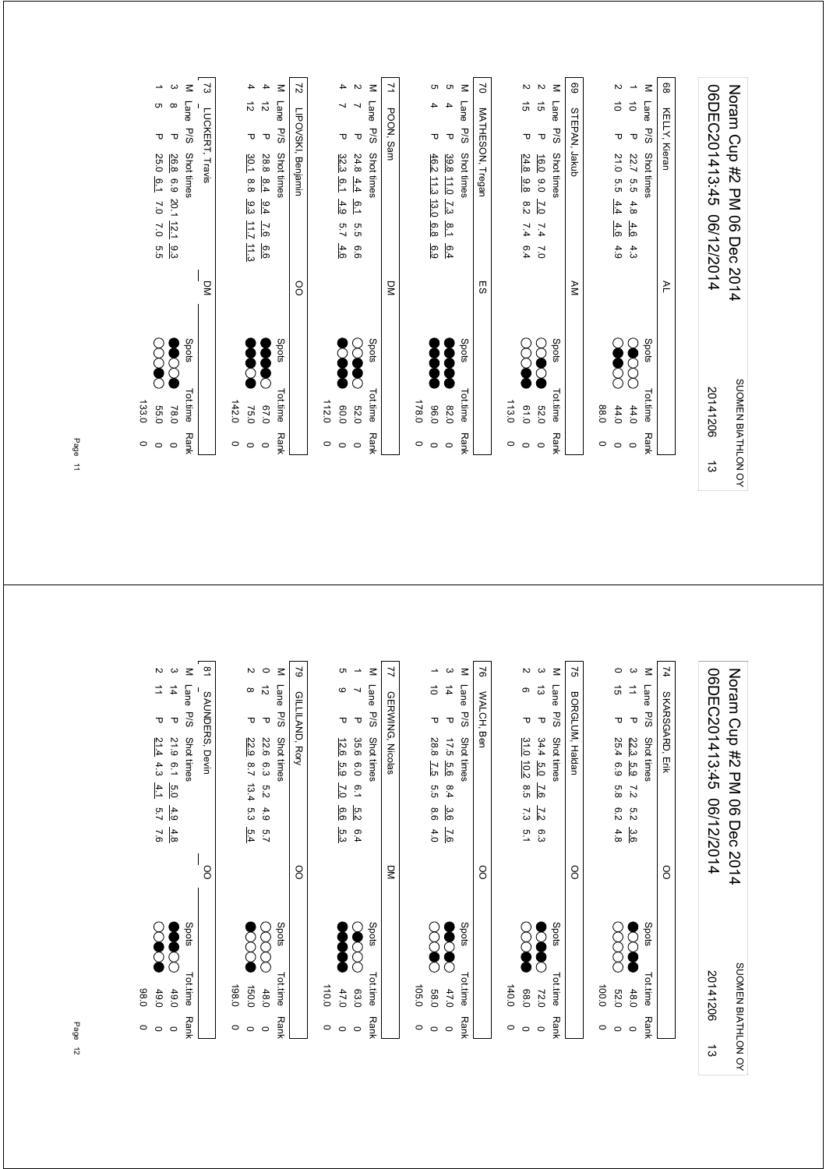|   | $\circ$     | 133.0              |               |                |                                           |                          |                  |                        |                          |
|---|-------------|--------------------|---------------|----------------|-------------------------------------------|--------------------------|------------------|------------------------|--------------------------|
|   | $\circ$     | <b>55.0</b>        |               |                | $\sim 0$<br>$\sim$<br>5.5                 | 25.0<br>6.1              | ᠊ᠣ               |                        | ∸                        |
|   | $\circ$     | 78.0               |               |                | 20.1 12.1<br>9.3                          | 26.8<br>6.9              | $\mathbf \sigma$ | თ დ                    | ω                        |
|   | Rank        | Tot.time           | Spots         |                |                                           | Shot times               | P/S              | Lane                   | $\leq$                   |
|   |             |                    |               | $\overline{S}$ |                                           | Travis                   | LUCKERT,         |                        | S,                       |
|   | $\circ$     | 142.0              |               |                |                                           |                          |                  |                        |                          |
|   | $\circ$     | 75.0               |               |                | 9.3<br>71L7<br>$\frac{11.3}{2}$           | 30.1<br>8.8              | ᠊ᠣ               | $\vec{\tilde{\omega}}$ | 4                        |
|   | $\circ$     | 0'/9               |               |                | 6.4<br>$\overline{9}$<br>6.6              | 28.8<br>8.4              | $\mathbf \sigma$ | $\vec{v}$              | 4                        |
|   | Rank        | <b>Tot.time</b>    | Spots         |                |                                           | Shot times               | <b>P/S</b>       | Lane                   | $\leq$                   |
|   |             |                    |               | OO             |                                           | LIPOVSKI, Benjamin       |                  |                        | 2                        |
|   | 0           | 112.0              |               |                |                                           |                          |                  |                        |                          |
|   | $\circ$     | 0.06               |               |                | 4.9<br>5.7<br>4.6                         | 32.3<br>6.1              | ᠊ᠣ               | ⊣                      | 4                        |
|   | $\circ$     | <b>52.0</b>        | $\mathcal{L}$ |                | $^{0.1}$<br>G.5<br>9.9                    | 24.8<br>4.4              | $\mathbf \sigma$ | ↘                      | $\overline{\mathsf{c}}$  |
|   | Rank        | Tot.time           | Spots         |                |                                           | Shot times               | P/S              | Lane                   | $\leq$                   |
|   |             |                    |               | $\sum$         |                                           |                          | POON, Sam        |                        | 7                        |
|   | $\circ$     | 178.0              |               |                |                                           |                          |                  |                        |                          |
|   | $\circ$     | 0.96               |               |                | $\frac{13.0}{2}$<br>6.8<br>6.9            | 46.2<br>$\frac{11.3}{2}$ | ᠊ᠣ               | 4                      | c                        |
|   | $\circ$     | 82.0               |               |                | $\frac{8.1}{2}$<br>6.4                    | 39.8 11.0 7.3            | $\mathbf \sigma$ | 4                      | c                        |
|   | Rank        | Tot.time           | Spots         |                |                                           | Shot times               | <b>P/S</b>       | Lane                   | $\leq$                   |
|   |             |                    |               | 53             |                                           | MATHESON, Tregan         |                  |                        | 5                        |
|   | $\circ$     | 113.0              |               |                |                                           |                          |                  |                        |                          |
|   | $\circ$     | 0.10               |               |                | $_{\rm 2.2}^{\rm 5}$<br>7.4<br>6.4        | 24.8<br>9.8              | ᠊ᠣ               | $\vec{5}$              |                          |
|   | $\circ$     | 032                |               |                | $\overline{C}$<br>$\overline{7.4}$<br>0.7 | 16.0<br>0.0              | $\mathbf \sigma$ | $\vec{g}$              | $\sim$ $\sim$            |
|   | <b>Rank</b> | Tottime            | Spots         |                |                                           | Shot times               | <b>P/S</b>       | Lane                   | $\leq$                   |
|   |             |                    |               | NΑ             |                                           |                          | STEPAN, Jakub    |                        | 89                       |
|   | $\circ$     | 0.88               |               |                |                                           |                          |                  |                        |                          |
|   | $\circ$     | 44.0               |               |                | 4.4<br>4.6<br>4.9                         | 21.0<br>G.5              | ᠊ᠣ               | $\vec{o}$              | N                        |
|   | $\circ$     | 44.0               |               |                | 4.8<br>4.6<br>4.3                         | 22.7<br>5.5              | $\mathbf \sigma$ | $\vec{o}$              | $\overline{\phantom{a}}$ |
|   | <b>Rank</b> | Tottime            | Spots         |                |                                           | Shot times               | 5/5              | Lane                   | $\leq$                   |
|   |             |                    |               | ≧              |                                           |                          | KELLY, Kieran    |                        | 89                       |
|   |             |                    |               |                |                                           |                          |                  |                        |                          |
| ದ |             | 20141206           |               |                | 06/12/2014                                | 06DEC201413:45           |                  |                        |                          |
|   |             | SUOMEN BIATHLON OY |               |                | Noram Crp #2 PM 06 Dec 2014               |                          |                  |                        |                          |
|   |             |                    |               |                |                                           |                          |                  |                        |                          |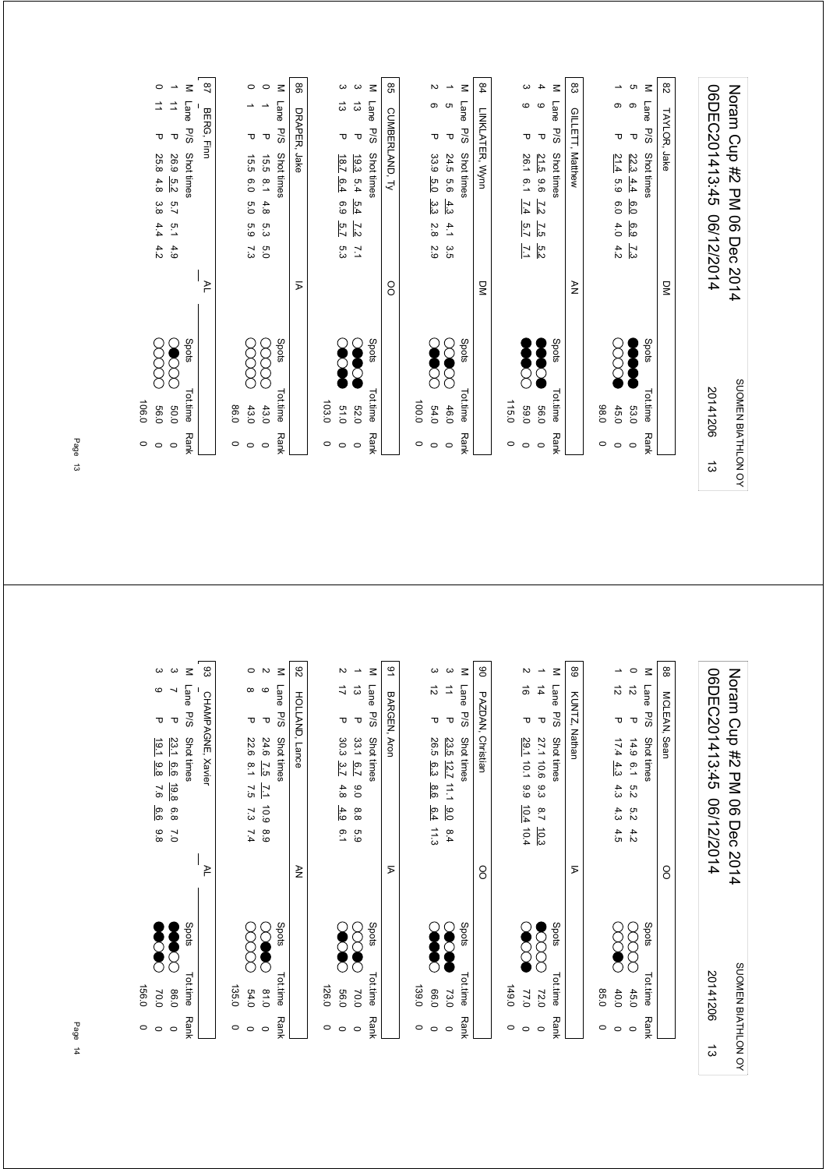|   | $\circ$     | 0.600              |       |                             |                  |                |                |                   |             |                  |                  |                          |
|---|-------------|--------------------|-------|-----------------------------|------------------|----------------|----------------|-------------------|-------------|------------------|------------------|--------------------------|
|   | $\circ$     | 0.95               |       |                             | 4.2              | 4.4            | 3.8            | 4.8               | 25.8        | τ                | ⇉                | $\circ$                  |
|   | $\circ$     | 0.03               |       |                             | 4.9              | $\overline{5}$ | 2.7            | 5.2               | <b>26.9</b> | $\mathbf \sigma$ | ⇉                | $\overline{\phantom{a}}$ |
|   | Rank        | Tot.time           | Spots |                             |                  |                |                | <b>Shot times</b> |             | P/S              | Lane             | $\leq$                   |
|   |             |                    |       | ≻                           |                  |                |                |                   | Elm         | BERG,            |                  | $^{28}$                  |
|   | $\circ$     | 0.98               |       |                             |                  |                |                |                   |             |                  |                  |                          |
|   | $\circ$     | 43.0               |       |                             | 7.3              | 63             | 6.0            | 6.0               | 15.5        | Δ                | ∸                | $\circ$                  |
|   | $\circ$     | 43.0               |       |                             | 6.0              | 5.3            | 4.8            | $\frac{1}{8}$     | 15.5        | $\mathbf \sigma$ |                  | $\circ$                  |
|   | <b>Rank</b> | Tot.time           | Spots |                             |                  |                |                | Shot times        |             | <b>P/S</b>       | Lane             | $\leq$                   |
|   |             |                    |       | $\overline{p}$              |                  |                |                |                   | Jake.       | DRAPER,          |                  | 88                       |
|   | $\circ$     | 103.0              |       |                             |                  |                |                |                   |             |                  |                  |                          |
|   | $\circ$     | 019                |       |                             | ς 3              | 5.7            | 6.9            | 6.4               | 18.7        | ᠊ᠣ               | ದ                | $\boldsymbol{\omega}$    |
|   | $\circ$     | <b>52.0</b>        |       |                             | $\overline{2}$   | $\overline{z}$ | 5.4            | 5.4               | 19.3        | $\mathbf \sigma$ | $\vec{\omega}$   | ပ                        |
|   | <b>Rank</b> | Tot.time           | Spots |                             |                  |                |                | Shot times        |             | <b>P/S</b>       | Lane             | $\leq$                   |
|   |             |                    |       | OO                          |                  |                |                |                   |             | CUMBERLAND, Ty   |                  | 8                        |
|   | 0           | 100.0              |       |                             |                  |                |                |                   |             |                  |                  |                          |
|   | $\circ$     | 54.0               |       |                             | 2.9              | 2.8            | သ<br>ပ         | 5.0               | 33.9        | ᠊ᠣ               | Φ                | Z                        |
|   | $\circ$     | 46.0               |       |                             | 3.5              | 4.1            | $\frac{4}{3}$  | 9.6               | 24.5        | $\mathbf \sigma$ | G                | $\overline{\phantom{a}}$ |
|   | <b>Rank</b> | Tot.time           | Spots |                             |                  |                |                | Shot times        |             | P/S              | Lane             | $\leq$                   |
|   |             |                    |       | $\overline{a}$              |                  |                |                |                   |             | LINKLATER, Wynn  |                  | 84                       |
|   | O           | 115.0              |       |                             |                  |                |                |                   |             |                  |                  |                          |
|   | $\circ$     | 0.65               |       |                             | $\overline{7.1}$ | 5.7            | 7.4            | 6.1               | 26.1        | ъ                | $\mathbf \Omega$ | ω                        |
|   | $\circ$     | <b>56.0</b>        |       |                             | 5.2              | $\overline{5}$ | $\overline{z}$ | 9.6               | 21.5        | $\mathbf \sigma$ | $\circ$          | 4                        |
|   | Rank        | Tot.time           | Spots |                             |                  |                |                | Shot times        |             | P/S              | Lane             | $\leq$                   |
|   |             |                    |       | $\geq$                      |                  |                |                | Matthew           |             | GILLETT,         |                  | 83                       |
|   | $\circ$     | 0.89               |       |                             |                  |                |                |                   |             |                  |                  |                          |
|   | $\circ$     | 45.0               |       |                             | 4.2              | 4.0            | 6.0            | 63                | 21.4        | τ                | თ                | ∸                        |
|   | $\circ$     | 53.0               |       |                             | $\overline{23}$  | 6.9            | 6.0            | 4.4               | 22.3        | $\mathbf \tau$   | ၜ                | G                        |
|   | Rank        | Tot.time           | Spots |                             |                  |                |                | Shot times        |             | PSG              | Lane             | $\leq$                   |
|   |             |                    |       | $\overline{S}$              |                  |                |                |                   | Jake        | TAYLOR,          |                  | $\frac{8}{2}$            |
|   |             |                    |       |                             |                  |                |                |                   |             |                  |                  |                          |
| ದ |             | 20141206           |       |                             | 06/12/2014       |                |                | 06DEC201413:45    |             |                  |                  |                          |
|   |             | SUOMEN BIATHLON OY |       | Noram Crp #2 DM 06 Dec 2014 |                  |                |                |                   |             |                  |                  |                          |

| $\circ$<br>$\circ$ | 156.0<br>70.0 |       |      | 7.6<br>6.6<br>86               | 19.1<br>$\frac{9.8}{8}$ | τ                | 6                  | က                        |
|--------------------|---------------|-------|------|--------------------------------|-------------------------|------------------|--------------------|--------------------------|
| $\circ$            | 0.98          |       |      | 19.8<br>6.8<br>$\overline{C}$  | 23.1<br>9.9             | Δ                | ┙                  | ယ                        |
| <b>Rank</b>        | Tot.time      | Spots |      |                                | Shot times              | P/S              | Lane               | $\leq$                   |
|                    |               |       | ≥    |                                | CHAMPAGNE, Xavier       |                  |                    | జ                        |
| $\circ$            | 135.0         |       |      |                                |                         |                  |                    |                          |
| $\circ$            | 54.0          |       |      | 7.5<br>7.3<br>7.4              | 22.6<br>$\frac{8}{1}$   | ᠊ᠸ               | œ                  | $\circ$                  |
| $\circ$            | 0.18          |       |      | $\mathbb{Z}$<br>6.9<br>8.9     | 24.6<br>7.5             | $\mathbf \sigma$ | $\circ$            | $\sim$                   |
| <b>Rank</b>        | Tot.time      | Spots |      |                                | Shot times              | <b>P/S</b>       | Lane               | $\leq$                   |
|                    |               |       | ≩    |                                | HOLLAND, Lance          |                  |                    | 82                       |
| $\circ$            | 126.0         |       |      |                                |                         |                  |                    |                          |
| $\circ$            | 0'99          |       |      | 4.8<br>4.9<br>$\overline{6.1}$ | 30.3<br>3.7             | ᠊ᠸ               | ゴ                  | Z                        |
| $\circ$            | 70.0          |       |      | 0.0<br>8.8<br>63               | 33.1 6.7                | $\mathbf \sigma$ | $\vec{\omega}$     | $\overline{\phantom{a}}$ |
| <b>Rank</b>        | Tot.time      | Spots |      |                                | Shot times              | <b>P/S</b>       | Lane               | $\leq$                   |
|                    |               |       | Σ    |                                |                         | BARGEN, Aron     |                    | 91                       |
| 0                  | 139.0         |       |      |                                |                         |                  |                    |                          |
| $\circ$            | 0.36          |       |      | 8.6<br>6.4<br>11.3             | 26.5<br>6.3             | ᠊ᠣ               | 5                  | ω                        |
| $\circ$            | 73.0          |       |      | 0.0<br>8.4                     | 23.5<br>12.7 11.1       | $\mathbf \sigma$ | ₫                  | ယ                        |
| <b>Rank</b>        | Tot.time      | Spots |      |                                | Shot times              | <b>P/S</b>       | Lane               | $\leq$                   |
|                    |               |       | 8    |                                | PAZDAN, Christian       |                  |                    | 8                        |
| $\circ$            | 149.0         |       |      |                                |                         |                  |                    |                          |
| $\circ$            | 77.0          |       |      | 66<br>$10.4$ 10.4              | 29.1 10.1               | ᠊ᠣ               | ಹ                  | Z                        |
| $\circ$            | 72.0          |       |      | 9.3<br>$8.7$ 10.3              | 27.1 10.6               | $\mathbf \sigma$ | $\vec{4}$          | $\overline{\phantom{a}}$ |
| <b>Rank</b>        | Tot.time      | Spots |      |                                | Shot times              | P/S              | Lane               | $\leq$                   |
|                    |               |       | Σ    |                                |                         | KUNTZ, Nathan    |                    | 89                       |
| $\circ$            | 85.0          |       |      |                                |                         |                  |                    |                          |
| $\circ$            | 40.0          |       |      | 4.3<br>4.3<br>4.5              | 17.4<br>4.3             | ᠊ᠣ               | $\vec{\mathbf{c}}$ | ∸                        |
| $\circ$            | 45.0          |       |      | 5.2<br>5.2<br>4.2              | 14.9 6.1                | $\mathbf \sigma$ | $\vec{v}$          | $\circ$                  |
| <b>Rank</b>        | Tot.time      | Spots |      |                                | Shot times              | P/S              | Lane               | $\leq$                   |
|                    |               |       | 8    |                                |                         | MCLEAN, Sean     |                    | 88                       |
|                    |               |       |      |                                |                         |                  |                    |                          |
| ದ                  | 20141206      |       |      | 06/12/2014                     | 06DEC201413:45          |                  |                    |                          |
| SUOMEN BIATHLON OY |               |       | 2014 | 90<br>Dec                      | Noram Cup #2 PM         |                  |                    |                          |
|                    |               |       |      |                                |                         |                  |                    |                          |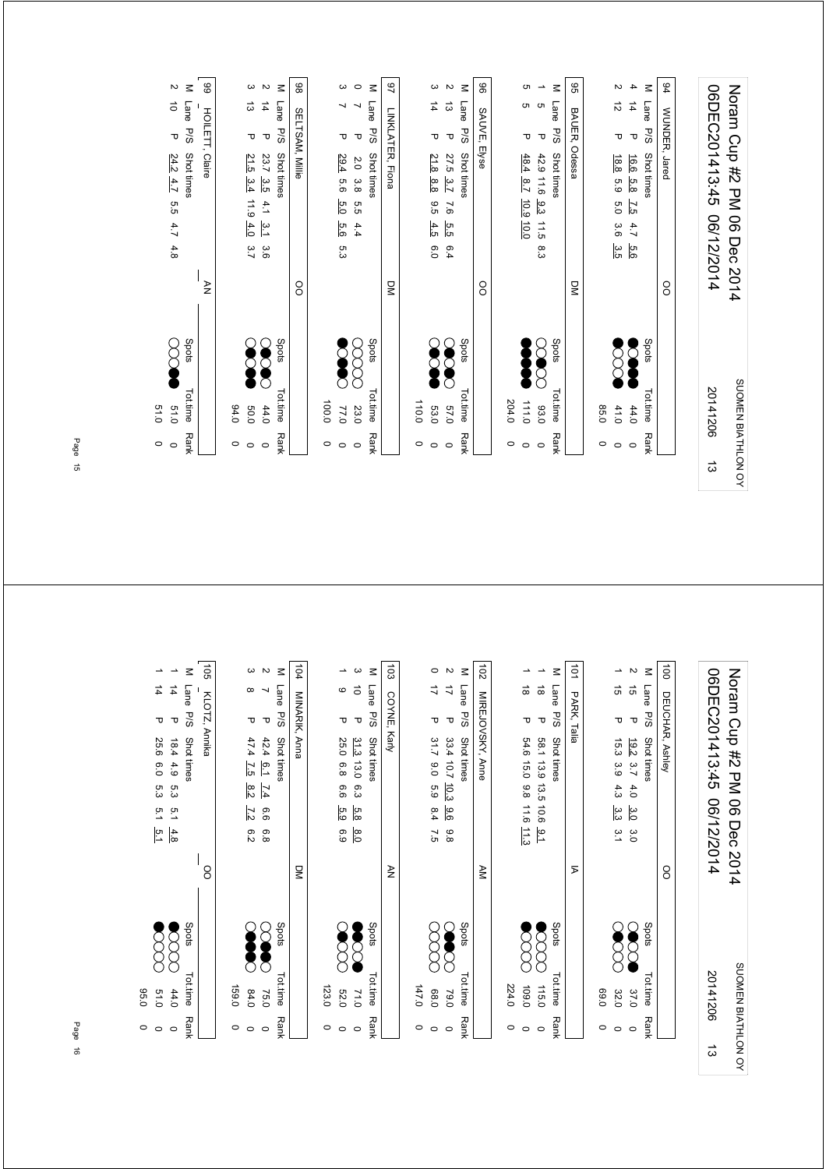|   | $\circ$     | 51.0               |        |                |            |                    |                         |                             |                  |                          |                       |
|---|-------------|--------------------|--------|----------------|------------|--------------------|-------------------------|-----------------------------|------------------|--------------------------|-----------------------|
|   | $\circ$     | 0.13               |        |                | 4.8        | 4.7                | 5.5                     | 24.2 4.7                    | Δ                | $\vec{\circ}$            | $\sim$                |
|   | Rank        | <b>Tot.time</b>    | Spots  |                |            |                    |                         | Shot times                  | 5/5              | Lane                     | $\leq$                |
|   |             |                    |        | ₹              |            |                    |                         | HOILETT, Claire             |                  |                          | 8                     |
|   | $\circ$     | 0.40               |        |                |            |                    |                         |                             |                  |                          |                       |
|   | $\circ$     | 0.03               |        |                | 3.7        | 4.0                | $\overrightarrow{11.9}$ | 21.5<br>3.4                 | Δ                | ದ                        | $\omega$              |
|   | $\circ$     | 44.0               |        |                | 3.6        | مبرا               | 4.1                     | 23.7 3.5                    | $\mathbf \sigma$ | $\overrightarrow{4}$     | $\sim$                |
|   | Rank        | <b>Tot time</b>    | Spots  |                |            |                    |                         | Shot times                  | P/S              | <b>Lane</b>              | $\leq$                |
|   |             |                    |        | OO             |            |                    |                         | SELTSAM, Millie             |                  |                          | 86                    |
|   | $\circ$     | 100.0              |        |                |            |                    |                         |                             |                  |                          |                       |
|   | $\circ$     | 77.0               |        |                | ς<br>ვ     | 5.6                | 5.0                     | 29.4<br>93                  | ᠊ᠣ               | ∼                        | ω                     |
|   | $\circ$     | 23.0               |        |                |            | 4.4                | ς.σ                     | 2.0<br>3.8                  | $\mathbf \sigma$ | $\overline{\phantom{0}}$ | $\circ$               |
|   | Rank        | Tot.time           | Spots  |                |            |                    |                         | Shot times                  | P/S              | Lane                     | $\leq$                |
|   |             |                    |        | $\overline{S}$ |            |                    |                         | LINKLATER, Fiona            |                  |                          | 29                    |
|   | $\circ$     | 110.0              |        |                |            |                    |                         |                             |                  |                          |                       |
|   | $\circ$     | 53.0               |        |                | 6.0        |                    | 9.5                     | 21.8<br>8.8                 | ᠊ᠣ               | 4                        | $\boldsymbol{\omega}$ |
|   | $\circ$     | 0.75               |        |                | 6.4        | $\frac{5}{10}$ 4.3 | 9'1                     | 27.5<br>3.7                 | $\mathbf \sigma$ | $\vec{\omega}$           | $\sim$                |
|   | <b>Rank</b> | Tot.time           | Spots  |                |            |                    |                         | Shot times                  | <b>P/S</b>       | Lane                     | $\leq$                |
|   |             |                    |        | 80             |            |                    |                         |                             | SAUVE, Elyse     |                          | 8                     |
|   | $\circ$     | 204.0              |        |                |            |                    |                         |                             |                  |                          |                       |
|   | $\circ$     | 0.111              |        |                |            |                    |                         | 48.4 8.7 10.9 10.0          | ᠊ᠣ               | c                        | cл                    |
|   | $\circ$     | 03.0               | Ê<br>R |                | 8.3        | $\frac{1}{2}$      | 9.3                     | 42.9 11.6                   | $\mathbf \sigma$ | c                        | ∸                     |
|   | Rank        | <b>Tot.time</b>    | Spots  |                |            |                    |                         | Shot times                  | P/S              | Lane                     | $\leq$                |
|   |             |                    |        | $\overline{a}$ |            |                    |                         | Odessa                      | BAUER,           |                          | 99                    |
|   | $\circ$     | 0.58               |        |                |            |                    |                         |                             |                  |                          |                       |
|   | $\circ$     | 41.0               |        |                | 3.5        | 3.6                | 5.0                     | 18.8<br>5.9                 | τ                | $\vec{\tilde{\omega}}$   | И                     |
|   | $\circ$     | 44.0               |        |                | 5.6        | 4.7                | 7.5                     | 16.6<br>5.8                 | $\mathbf \tau$   | $\vec{4}$                | 4                     |
|   | Rank        | Tot.time           | Spots  |                |            |                    |                         | <b>Shot times</b>           | P/S              | Lane                     | $\leq$                |
|   |             |                    |        | <sup>o</sup>   |            |                    |                         | WUNDER, Jared               |                  |                          | 94                    |
|   |             |                    |        |                |            |                    |                         |                             |                  |                          |                       |
| ದ |             | 20141206           |        |                | 06/12/2014 |                    |                         | 06DEC201413:45              |                  |                          |                       |
|   |             | SUOMEN BIATHLON OY |        |                |            |                    |                         | Noram Crp #2 DM 06 Dec 2014 |                  |                          |                       |

103  $\begin{array}{cc} 1 & 14 \end{array}$ 105 104 MINARIK, Anna 102 MIREJOVSKY, Anne  $\frac{1}{8}$ 101 PARK, Talia 100 DEUCHAR, Ashley  $\circ$ M Lane P/S Shot times  $\rightarrow$ M Lane P/S Shot times  $\omega$   $\omega$ M Lane P/S Shot times  $\rightarrow$   $\omega$ M Lane P/S Shot times  $\overline{v}$ M Lane P/S Shot times  $\rightarrow$ M Lane P/S Shot times  $\rightarrow$  N 06DEC201413:45 06/12/2014 Noram Cup #2 PM 06 Dec 2014 1 4 D 25.0 6.0 5.3 5.1 5.1 D 25.0 5.1 D 25.1 D 25.1 D 25.1 D 25.1 D 25.1 D 25.1 D 25.1 D 25.1 D 25.1 D 25.1 D 2 1 14.9 5.3 5.1 4.9 5.3 5.1 4.8 P 18.4 P 19.4 P 19.1 P 19.1 P 19.1 P 19.1 P 19.1 P 19.1 P 19.1 P 19.1 P 19.1 P 1 3 8 P 47.4 7.5 8.2 6.2 8.2 (20) 84.0 0 2 7 P 42.4 6.1 7.4 6.6 6.8 (XX) 0 8.0 5.8 13.0 71.0 6.3 3 10 P 31.3 0 17 P 31.7 9.0 6.9 8.4 7.5 ( X X X X 8.0 0 2 17 P 33.4 10.7 9.8 9.8 9.8 P 33.4 10.7 P 33.4 P 33.4 P 33.4 P 20.0 P 20.0 P 20.0 P 20.0 P 20.0 P 20.0 P 20.0 0 11.3 11.6 15.0 109.0 9.8 1 18 P 54.6 0 9.1 10.0 1 10.6 10.0 10.0 1 10.0 1 10.0 1 10.0 1 10.0 1 10.0 1 10.0 1 10.0 1 1 3.2 4.3 3.9 4.3 3.3 3.3 3.4 P 15.2 0 D 15.2 0 D 15.2 D 15.4 P 15.4 P 15.4 P 15.4 P 15.4 P 15.1 P 15.1 P 15.1 P 15.1 P 15.1 P 15.1 P 15.1 P 15.1 P 15.1 P 15.1 P 15.1 P 15.1 P 15.1 P 15.1 P 15.1 P 15.1 P 15.1 P 15.1 P 15. 2 15 P 19.2 3.7 4.0 3.0 3.0 3.0 3.0 3.7 ● 2.7 P 19.2 19.2 14.0 P 19.2 P 19.2 P 19.2 P 19.2 P 19.2 P 1 06DEC201413:45 06/12/2014 1 9 D 25.0 6.9 6.9 6.9 6.9 P 20 20 1 9 D 25.0 0 25.0 0 D 25.0 0 D 25.0 0 D 25.0 0 D 25.0 0 D 25.0 0 D 25.0 0 D Noram Cup #2 PM 06 Dec 2014  $\frac{1}{7}$  $\circ$   $\vec{o}$  $\vec{a}$   $\vec{a}$  $\frac{1}{4}$  $\infty$  $\overline{a}$  $\vec{a}$ COYNE, Karly KLOTZ, Annika MINARIK, Anna COYNE, Karly MIREJOVSKY, Anne PARK, Talia DEUCHAR, Ashley P 192 37 4.0 3.0 3.0<br>P 15.3 3.9 4.3 3.3 3.1  $\sigma$   $\sigma$  $P$  42.4  $\frac{6.1}{1.2}$   $\frac{7.4}{8.2}$  6.6 6.8<br>P 47.4  $\frac{7.5}{1.5}$  8.2  $\frac{7.2}{1.2}$  6.2  $\sigma$   $\sigma$ P 33.4 10.7 10.3 9.6 9.8<br>P 31.7 9.0 5.9 8.4 7.5 P 54.6 15.0 9.8 11.6 11.3 P 58.1 13.9 13.5 10.6 9.1 Py Spots Tot.time Rank Shot times P/S Shot times Shots Shots Tot.time Rank Py Spots Tot.time Rank Shot times P/S Shot times  $\sim$  Shots Shots Tot.time P/S Shot times Py Spots Tot.time Rank Shot times P/S Shot times  $\sim$  Shots Shots Tot.time P/S Shot times 18.4 4.9 5.3 5.1  $\frac{4.8}{-5.6}$ <br>25.6 6.0 5.3 5.1  $\frac{5.1}{-5.1}$  $\frac{31.3}{25.0}$  <br>  $\frac{31.3}{6.8}$  <br>  $\frac{6.3}{6.9}$  <br>  $\frac{5.8}{6.9}$  <br>  $\frac{8.0}{6.9}$ OO OO DM  $\geq$ AM  $\overline{p}$ 88  $\frac{1}{2}$  $\infty$ 80000 Spots  $\infty$ Spots **Spots**  $\infty$ Spots Spots stods 0911 00000 0'601 00000  $\infty$  $\infty$ SUOMEN BIATHLON OY SUOMEN BIATHLON OY Tot.time Rank Tot.time Rank Tot.time Tot.time Rank Tot.time Rank Tot.time 20141206 $84.0$  $0.77$ 68.0 37.0  $51.0$  $44.0$ 75.0 52.0 79.0 32.0 159.0 159.0 0 123.0 0  $147.0$  147.0 0 224.0 224.0 0 123.0 95.0 0'69 69.0 0 **Rank Rank**  $\circ$   $\circ$  $\circ$   $\circ$  $\circ$   $\circ$  $\circ$   $\circ$  $\circ$  $\circ$  $\circ$   $\circ$   $\circ$  $\circ$  $\circ$   $\circ$  $\circ$ ದ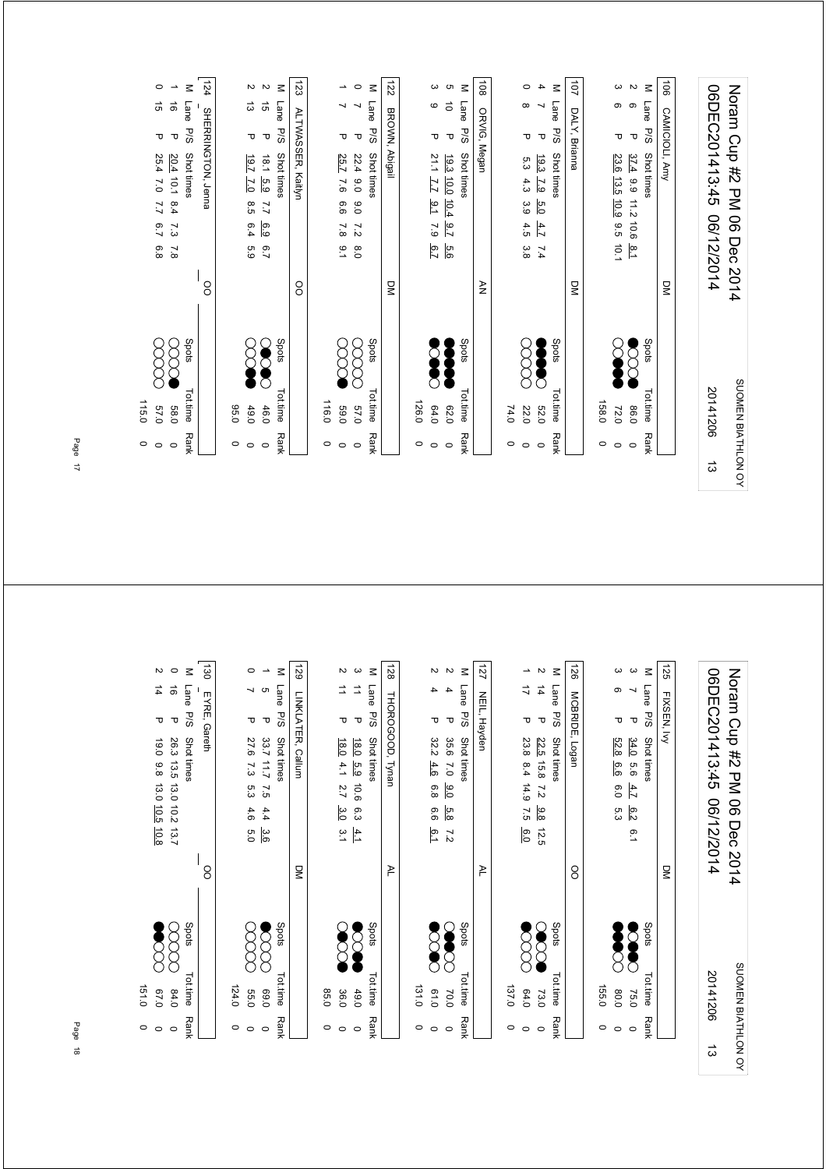|                                       |                       | 06DEC201413:45<br>06/12/2014                                            |                         |       | 20141206        |             | ದ |
|---------------------------------------|-----------------------|-------------------------------------------------------------------------|-------------------------|-------|-----------------|-------------|---|
|                                       |                       |                                                                         |                         |       |                 |             |   |
|                                       |                       |                                                                         |                         |       |                 |             |   |
| $\overrightarrow{90}$                 | <b>CAMICIOLI, Amy</b> |                                                                         | $\overline{a}$          |       |                 |             |   |
| $\leq$                                | Lane<br>P/S           | Shot times                                                              |                         | Spots | Tot.time        | <b>Rank</b> |   |
| $\mathbf{z}$<br>ၜ                     | $\mathbf \tau$        | 37.4<br>2.9 11.2<br>10.6<br>$\overline{5}$                              |                         |       | 0.98            | $\circ$     |   |
| ω<br>თ                                | ᠊ᠣ                    | 23.6 13.5 10.9<br>9.5<br>10.1                                           |                         |       | 72.0            | $\circ$     |   |
|                                       |                       |                                                                         |                         |       | 158.0           | 0           |   |
| 101                                   | DALY, Brianna         |                                                                         | $\overline{\mathsf{S}}$ |       |                 |             |   |
| $\leq$                                | Lane<br>P/S           | Shot times                                                              |                         | Spots | <b>Tot.time</b> | <b>Rank</b> |   |
| 4<br>∼                                | $\mathbf \sigma$      | 19.3<br>$\overline{29}$<br>5.0<br>4.7<br>7.4                            |                         |       | 032             | $\circ$     |   |
| $\circ$<br>$\infty$                   | ᠊ᠣ                    | 5.3<br>4.3<br>3.9<br>4.5<br>3.8                                         |                         |       | 22.0            | $\circ$     |   |
|                                       |                       |                                                                         |                         |       | 74.0            | 0           |   |
| $\overline{8}$                        | ORVIG, Megan          |                                                                         | $\geq$                  |       |                 |             |   |
| $\leq$                                | Lane<br>P/S           | <b>Shot times</b>                                                       |                         | Spots | Tot.time        | <b>Rank</b> |   |
| G<br>$\vec{o}$                        | $\mathbf \sigma$      | 19.3<br>$\frac{10.0}{2}$<br>$\frac{10.4}{4}$<br>$\overline{2.6}$<br>6.6 |                         |       | 029             | $\circ$     |   |
| ω<br>ဖ                                | ᠊ᠣ                    | 21.1<br>Z-7<br>$-1.6$<br>$\overline{c}$                                 |                         |       | 64.0            | $\circ$     |   |
|                                       |                       |                                                                         |                         |       | 126.0           | $\circ$     |   |
| 122                                   | BROWN, Abigail        |                                                                         | $\overline{S}$          |       |                 |             |   |
| $\leq$                                | Lane<br><b>P/S</b>    | Shot times                                                              |                         | Spots | Tottime         | <b>Rank</b> |   |
| $\circ$<br>↘                          | $\mathbf \sigma$      | 22.4<br>0.0<br>0.0<br>$\overline{z}$<br>0.8                             |                         |       | 0'29            | $\circ$     |   |
| →<br>┙                                | ᠊ᠣ                    | 25.7<br>7.6<br>6.6<br>$\overline{\mathbf{8}}$<br>$\frac{1}{2}$          |                         |       | 0'69            | $\circ$     |   |
|                                       |                       |                                                                         |                         |       | 116.0           | $\circ$     |   |
| 123                                   |                       | ALTWASSER, Kaitlyn                                                      | <sup>o</sup>            |       |                 |             |   |
| $\leq$                                | Lane<br><b>P/S</b>    | Shot times                                                              |                         | Spots | Tot.time        | <b>Rank</b> |   |
| $\sim$ $\sim$<br>$\vec{q}$            | $\mathbf \sigma$      | 1.81<br>5.9<br>$\overline{L}$<br>၉၁<br>$\overline{2}$                   |                         |       | 46.0            | $\circ$     |   |
| ದ                                     | ᠊ᠣ                    | 19.7<br>$\overline{C}$<br>8.5<br>6.4<br>6.9                             |                         |       | 49.0            | $\circ$     |   |
|                                       |                       |                                                                         |                         |       | 0.56            | 0           |   |
| 124                                   |                       | SHERRINGTON, Jenna                                                      | OO                      |       |                 |             |   |
| Μ                                     | Lane<br><b>P/S</b>    | Shot times                                                              |                         | Spots | Tot.time        | <b>Rank</b> |   |
| $\overline{\phantom{a}}$<br>$\vec{0}$ | $\mathbf \tau$        | 20.4 10.1<br>8.4<br>7.3<br>$\overline{8}$                               |                         |       | 089             | $\circ$     |   |
| $\circ$<br>$\vec{q}$                  | ᠊ᠣ                    | 25.4<br>7.0<br>7.7<br>6.7<br>6.8                                        |                         |       | 0'/9            | $\circ$     |   |
|                                       |                       |                                                                         |                         |       | 115.0           | $\circ$     |   |

| $\circ$<br>$\circ$ | 151.0<br>0.70     | $\sharp$<br>᠊ᠣ<br>19.0 9.8 13.0 10.5 10.8                                               | $\sim$   |
|--------------------|-------------------|-----------------------------------------------------------------------------------------|----------|
| $\circ$            | 84.0              | $\vec{\circ}$<br>᠊ᠣ<br>26.3 13.5 13.0 10.2 13.7                                         | $\circ$  |
| <b>Rank</b>        | Spots<br>Tot.time | Lane<br>P/S<br><b>Shot times</b>                                                        | $\leq$   |
|                    |                   | EYRE, Gareth<br>8                                                                       | 130      |
| $\circ$            | 124.0             |                                                                                         |          |
| $\circ$            | <b>55.0</b>       | ┙<br>᠊ᠣ<br>27.6<br>73<br>5.3<br>4.6<br>5.0                                              | $\circ$  |
| $\circ$            | 069               | ∸<br>G<br>τ<br>33.7 11.7<br>57<br>4.4<br>3.6                                            |          |
| <b>Rank</b>        | Spots<br>Tot.time | Lane<br>P/S<br>Shot times                                                               | $\leq$   |
|                    |                   | LINKLATER, Callum<br>$\leq$                                                             | 671      |
| $\circ$            | 85.0              |                                                                                         |          |
| $\circ$            | 36.0              | ⇉<br>᠊ᠣ<br>18.0<br>4.1<br>2.7<br>3.0<br>$\frac{3}{4}$                                   | Z        |
| $\circ$            | 49.0              | ⇉<br>τ<br>18.0 5.9<br>10.6<br>6.3<br>$\frac{4.1}{1}$                                    | $\omega$ |
| <b>Rank</b>        | Spots<br>Tot.time | Lane<br>P/S<br>Shot times                                                               | $\leq$   |
|                    |                   | THOROGOOD, Tynan<br>₹                                                                   | 128      |
| $\circ$            | 131.0             |                                                                                         |          |
| $\circ$            | 0.10              | 4<br>᠊ᠣ<br>32.2<br>4.6<br>6.8<br>6.6<br>$\overline{6.1}$                                | $\sim$   |
| $\circ$            | C<br>70.0         | 4<br>τ<br>35.6<br>$\overline{0}$<br>0.0<br>5.8<br>$\overline{z}$                        | $\sim$   |
| <b>Rank</b>        | Spots<br>Tot.time | Lane<br>P/S<br>Shot times                                                               | $\leq$   |
|                    |                   | NEIL, Hayden<br>≥                                                                       | 127      |
| 0                  | 137.0             |                                                                                         |          |
| $\circ$            | 64.0              | ∸<br>ゴ<br>᠊ᠣ<br>23.8<br>$8.4$ 14.9<br>7.5<br>6.0                                        |          |
| $\circ$            | 73.0              | $\vec{4}$<br>$\mathbf \sigma$<br>22.5 15.8<br>$\overline{z}$<br>$\frac{9.8}{8}$<br>12.5 | $\sim$   |
| <b>Rank</b>        | Spots<br>Tot.time | Lane<br><b>P/S</b><br>Shot times                                                        | $\leq$   |
|                    |                   | MCBRIDE, Logan<br>8                                                                     | 126      |
| 0                  | 155.0             |                                                                                         |          |
| $\circ$            | 0.08              | თ<br>᠊ᠣ<br>52.8<br>9.9<br>6.0<br>5.3                                                    | ω        |
| $\circ$            | ె<br>75.0         | ┙<br>$\mathbf \sigma$<br>34.0<br>9.6<br>4.7<br>6.2<br>0.1                               | ယ        |
| <b>Rank</b>        | Spots<br>Tot.time | Lane<br>P/S<br>Shot times                                                               | $\leq$   |
|                    |                   | FIXSEN, Ivy<br>$\overline{a}$                                                           | 125      |
|                    |                   |                                                                                         |          |
| ದ                  | 20141206          | 06DEC201413:45<br>06/12/2014                                                            |          |
| SUOMEN BIATHLON OY |                   | Noram Crp #2 PM<br>06 Dec<br>2014                                                       |          |
|                    |                   |                                                                                         |          |